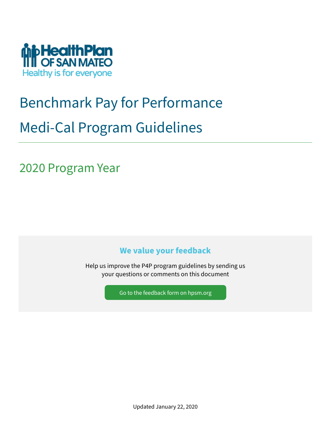

# Benchmark Pay for Performance Medi-Cal Program Guidelines

2020 Program Year

## **We value your feedback**

Help us improve the P4P program guidelines by sending us your questions or comments on this document

[Go to the feedback form](https://www.hpsm.org/provider/p4p-quality-initative/program-guidelines-feedback) on hpsm.org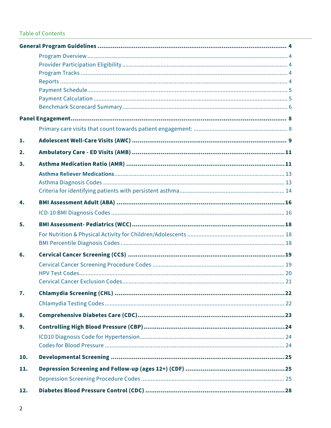### **Table of Contents**

| 1.  |  |
|-----|--|
| 2.  |  |
| 3.  |  |
|     |  |
|     |  |
| 4.  |  |
|     |  |
| 5.  |  |
|     |  |
| 6.  |  |
|     |  |
| 7.  |  |
|     |  |
| 8.  |  |
| 9.  |  |
|     |  |
| 10. |  |
| 11. |  |
| 12. |  |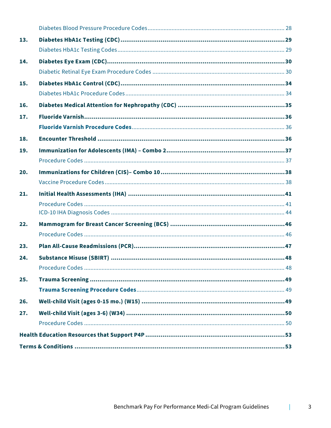| 13. |  |
|-----|--|
|     |  |
| 14. |  |
|     |  |
| 15. |  |
|     |  |
| 16. |  |
| 17. |  |
|     |  |
| 18. |  |
| 19. |  |
|     |  |
| 20. |  |
|     |  |
| 21. |  |
|     |  |
|     |  |
|     |  |
| 22. |  |
|     |  |
| 23. |  |
| 24. |  |
|     |  |
| 25. |  |
|     |  |
| 26. |  |
| 27. |  |
|     |  |
|     |  |

T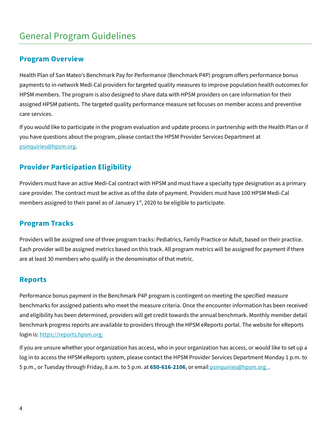## <span id="page-3-0"></span>General Program Guidelines

### <span id="page-3-1"></span>**Program Overview**

Health Plan of San Mateo's Benchmark Pay for Performance (Benchmark P4P) program offers performance bonus payments to in-network Medi-Cal providers for targeted quality measures to improve population health outcomes for HPSM members. The program is also designed to share data with HPSM providers on care information for their assigned HPSM patients. The targeted quality performance measure set focuses on member access and preventive care services.

If you would like to participate in the program evaluation and update process in partnership with the Health Plan or if you have questions about the program, please contact the HPSM Provider Services Department at [psinquiries@hpsm.org.](mailto:psinquiries@hpsm.org?subject=Benchmark%20P4P)

### <span id="page-3-2"></span>**Provider Participation Eligibility**

Providers must have an active Medi-Cal contract with HPSM and must have a specialty type designation as a primary care provider. The contract must be active as of the date of payment. Providers must have 100 HPSM Medi-Cal members assigned to their panel as of January  $1<sup>st</sup>$ , 2020 to be eligible to participate.

### <span id="page-3-3"></span>**Program Tracks**

Providers will be assigned one of three program tracks: Pediatrics, Family Practice or Adult, based on their practice. Each provider will be assigned metrics based on this track. All program metrics will be assigned for payment if there are at least 30 members who qualify in the denominator of that metric.

### <span id="page-3-4"></span>**Reports**

Performance bonus payment in the Benchmark P4P program is contingent on meeting the specified measure benchmarks for assigned patients who meet the measure criteria. Once the encounter information has been received and eligibility has been determined, providers will get credit towards the annual benchmark. Monthly member detail benchmark progress reports are available to providers through the HPSM eReports portal. The website for eReports login is[: https://reports.hpsm.org.](https://reports.hpsm.org/)

If you are unsure whether your organization has access, who in your organization has access, or would like to set up a log in to access the HPSM eReports system, please contact the HPSM Provider Services Department Monday 1 p.m. to 5 p.m., or Tuesday through Friday, 8 a.m. to 5 p.m. at **650-616-2106**, or email [psinquiries@hpsm.org.](mailto:psinquiries@hpsm.org?subject=Benchmark%20P4P) .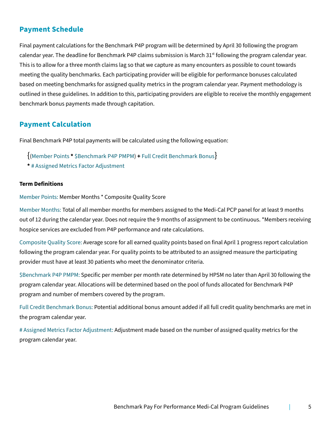### <span id="page-4-0"></span>**Payment Schedule**

Final payment calculations for the Benchmark P4P program will be determined by April 30 following the program calendar year. The deadline for Benchmark P4P claims submission is March  $31<sup>st</sup>$  following the program calendar year. This is to allow for a three month claims lag so that we capture as many encounters as possible to count towards meeting the quality benchmarks. Each participating provider will be eligible for performance bonuses calculated based on meeting benchmarks for assigned quality metrics in the program calendar year. Payment methodology is outlined in these guidelines. In addition to this, participating providers are eligible to receive the monthly engagement benchmark bonus payments made through capitation.

### <span id="page-4-1"></span>**Payment Calculation**

Final Benchmark P4P total payments will be calculated using the following equation:

- {(Member Points **\*** \$Benchmark P4P PMPM) **<sup>+</sup>** Full Credit Benchmark Bonus}
- **\*** # Assigned Metrics Factor Adjustment

#### **Term Definitions**

Member Points: Member Months \* Composite Quality Score

Member Months: Total of all member months for members assigned to the Medi-Cal PCP panel for at least 9 months out of 12 during the calendar year. Does not require the 9 months of assignment to be continuous. \*Members receiving hospice services are excluded from P4P performance and rate calculations.

Composite Quality Score: Average score for all earned quality points based on final April 1 progress report calculation following the program calendar year. For quality points to be attributed to an assigned measure the participating provider must have at least 30 patients who meet the denominator criteria.

\$Benchmark P4P PMPM: Specific per member per month rate determined by HPSM no later than April 30 following the program calendar year. Allocations will be determined based on the pool of funds allocated for Benchmark P4P program and number of members covered by the program.

Full Credit Benchmark Bonus: Potential additional bonus amount added if all full credit quality benchmarks are met in the program calendar year.

# Assigned Metrics Factor Adjustment: Adjustment made based on the number of assigned quality metrics for the program calendar year.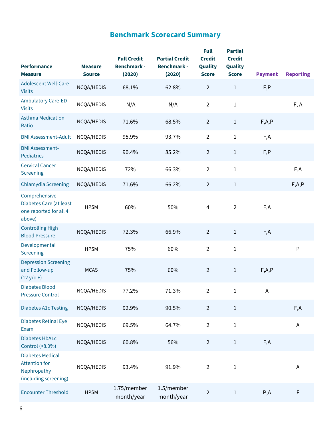## **Benchmark Scorecard Summary**

<span id="page-5-0"></span>

| <b>Performance</b>                                                                      | <b>Measure</b> | <b>Full Credit</b><br><b>Benchmark -</b> | <b>Partial Credit</b><br><b>Benchmark -</b> | <b>Full</b><br><b>Credit</b><br>Quality | <b>Partial</b><br><b>Credit</b><br>Quality |                |                  |
|-----------------------------------------------------------------------------------------|----------------|------------------------------------------|---------------------------------------------|-----------------------------------------|--------------------------------------------|----------------|------------------|
| <b>Measure</b>                                                                          | <b>Source</b>  | (2020)                                   | (2020)                                      | <b>Score</b>                            | <b>Score</b>                               | <b>Payment</b> | <b>Reporting</b> |
| <b>Adolescent Well-Care</b><br><b>Visits</b>                                            | NCQA/HEDIS     | 68.1%                                    | 62.8%                                       | $\overline{2}$                          | $\mathbf{1}$                               | F, P           |                  |
| <b>Ambulatory Care-ED</b><br><b>Visits</b>                                              | NCQA/HEDIS     | N/A                                      | N/A                                         | $\overline{2}$                          | $\mathbf{1}$                               |                | F, A             |
| <b>Asthma Medication</b><br>Ratio                                                       | NCQA/HEDIS     | 71.6%                                    | 68.5%                                       | $\overline{2}$                          | $\mathbf{1}$                               | F, A, P        |                  |
| <b>BMI Assessment-Adult</b>                                                             | NCQA/HEDIS     | 95.9%                                    | 93.7%                                       | $\overline{2}$                          | $1\,$                                      | F,A            |                  |
| <b>BMI Assessment-</b><br><b>Pediatrics</b>                                             | NCQA/HEDIS     | 90.4%                                    | 85.2%                                       | $\overline{2}$                          | $\,1\,$                                    | F, P           |                  |
| <b>Cervical Cancer</b><br>Screening                                                     | NCQA/HEDIS     | 72%                                      | 66.3%                                       | $\overline{2}$                          | $1\,$                                      |                | F,A              |
| <b>Chlamydia Screening</b>                                                              | NCQA/HEDIS     | 71.6%                                    | 66.2%                                       | $\overline{2}$                          | $\mathbf{1}$                               |                | F, A, P          |
| Comprehensive<br>Diabetes Care (at least<br>one reported for all 4<br>above)            | <b>HPSM</b>    | 60%                                      | 50%                                         | $\overline{4}$                          | $\overline{2}$                             | F,A            |                  |
| <b>Controlling High</b><br><b>Blood Pressure</b>                                        | NCQA/HEDIS     | 72.3%                                    | 66.9%                                       | $\overline{2}$                          | $\mathbf{1}$                               | F,A            |                  |
| Developmental<br>Screening                                                              | <b>HPSM</b>    | 75%                                      | 60%                                         | $\overline{2}$                          | $1\,$                                      |                | P                |
| <b>Depression Screening</b><br>and Follow-up<br>$(12 y/o + )$                           | <b>MCAS</b>    | 75%                                      | 60%                                         | $\overline{2}$                          | $1\,$                                      | F, A, P        |                  |
| <b>Diabetes Blood</b><br><b>Pressure Control</b>                                        | NCQA/HEDIS     | 77.2%                                    | 71.3%                                       | $\overline{a}$                          | $\mathbf{1}$                               |                |                  |
| <b>Diabetes A1c Testing</b>                                                             | NCQA/HEDIS     | 92.9%                                    | 90.5%                                       | $\overline{2}$                          | $\mathbf 1$                                |                | F,A              |
| Diabetes Retinal Eye<br>Exam                                                            | NCQA/HEDIS     | 69.5%                                    | 64.7%                                       | $\overline{2}$                          | $\mathbf 1$                                |                | $\mathsf A$      |
| Diabetes HbA1c<br>Control (<8.0%)                                                       | NCQA/HEDIS     | 60.8%                                    | 56%                                         | $\overline{2}$                          | $\,1$                                      | F,A            |                  |
| <b>Diabetes Medical</b><br><b>Attention for</b><br>Nephropathy<br>(including screening) | NCQA/HEDIS     | 93.4%                                    | 91.9%                                       | $\overline{2}$                          | $\mathbf{1}$                               |                | Α                |
| <b>Encounter Threshold</b>                                                              | <b>HPSM</b>    | 1.75/member<br>month/year                | 1.5/member<br>month/year                    | $\overline{2}$                          | $\,1\,$                                    | P, A           | $\mathsf F$      |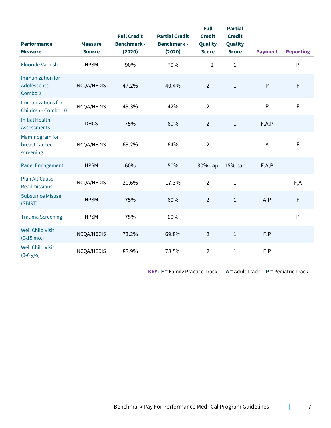| <b>Performance</b><br><b>Measure</b>                | <b>Measure</b><br><b>Source</b> | <b>Full Credit</b><br><b>Benchmark -</b><br>(2020) | <b>Partial Credit</b><br><b>Benchmark -</b><br>(2020) | <b>Full</b><br><b>Credit</b><br>Quality<br><b>Score</b> | <b>Partial</b><br><b>Credit</b><br>Quality<br><b>Score</b> | <b>Payment</b> | <b>Reporting</b> |
|-----------------------------------------------------|---------------------------------|----------------------------------------------------|-------------------------------------------------------|---------------------------------------------------------|------------------------------------------------------------|----------------|------------------|
| <b>Fluoride Varnish</b>                             | <b>HPSM</b>                     | 90%                                                | 70%                                                   | $\overline{2}$                                          | $\mathbf 1$                                                |                | $\mathsf{P}$     |
| <b>Immunization for</b><br>Adolescents -<br>Combo 2 | NCQA/HEDIS                      | 47.2%                                              | 40.4%                                                 | $\overline{2}$                                          | $\mathbf 1$                                                | $\mathsf{P}$   | F                |
| Immunizations for<br>Children - Combo 10            | NCQA/HEDIS                      | 49.3%                                              | 42%                                                   | $\overline{2}$                                          | $1\,$                                                      | $\mathsf{P}$   | $\mathsf F$      |
| <b>Initial Health</b><br><b>Assessments</b>         | <b>DHCS</b>                     | 75%                                                | 60%                                                   | $\overline{2}$                                          | $\,1\,$                                                    | F, A, P        |                  |
| Mammogram for<br>breast cancer<br>screening         | NCQA/HEDIS                      | 69.2%                                              | 64%                                                   | $\overline{2}$                                          | $\mathbf 1$                                                | $\overline{A}$ | $\mathsf F$      |
| <b>Panel Engagement</b>                             | <b>HPSM</b>                     | 60%                                                | 50%                                                   | 30% сар                                                 | 15% cap                                                    | F, A, P        |                  |
| <b>Plan All-Cause</b><br>Readmissions               | NCQA/HEDIS                      | 20.6%                                              | 17.3%                                                 | $\overline{2}$                                          | $\mathbf{1}$                                               |                | F,A              |
| <b>Substance Misuse</b><br>(SBIRT)                  | <b>HPSM</b>                     | 75%                                                | 60%                                                   | $\overline{2}$                                          | $\mathbf{1}$                                               | A, P           | F                |
| <b>Trauma Screening</b>                             | <b>HPSM</b>                     | 75%                                                | 60%                                                   |                                                         |                                                            |                | $\mathsf{P}$     |
| <b>Well Child Visit</b><br>$(0-15 \text{ mo.})$     | NCQA/HEDIS                      | 73.2%                                              | 69.8%                                                 | $\overline{2}$                                          | $\mathbf{1}$                                               | F, P           |                  |
| <b>Well Child Visit</b><br>$(3-6 y/o)$              | NCQA/HEDIS                      | 83.9%                                              | 78.5%                                                 | $\overline{2}$                                          | $\mathbf{1}$                                               | F, P           |                  |

**KEY: F =** Family Practice Track **A =** Adult Track **P =** Pediatric Track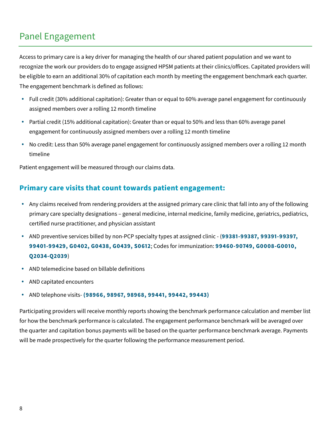## <span id="page-7-0"></span>Panel Engagement

Access to primary care is a key driver for managing the health of our shared patient population and we want to recognize the work our providers do to engage assigned HPSM patients at their clinics/offices. Capitated providers will be eligible to earn an additional 30% of capitation each month by meeting the engagement benchmark each quarter. The engagement benchmark is defined as follows:

- Full credit (30% additional capitation): Greater than or equal to 60% average panel engagement for continuously assigned members over a rolling 12 month timeline
- Partial credit (15% additional capitation): Greater than or equal to 50% and less than 60% average panel engagement for continuously assigned members over a rolling 12 month timeline
- No credit: Less than 50% average panel engagement for continuously assigned members over a rolling 12 month timeline

Patient engagement will be measured through our claims data.

### <span id="page-7-1"></span>**Primary care visits that count towards patient engagement:**

- Any claims received from rendering providers at the assigned primary care clinic that fall into any of the following primary care specialty designations – general medicine, internal medicine, family medicine, geriatrics, pediatrics, certified nurse practitioner, and physician assistant
- AND preventive services billed by non-PCP specialty types at assigned clinic (**99381-99387, 99391-99397, 99401-99429, G0402, G0438, G0439, S0612**; Codes for immunization: **99460-90749, G0008-G0010, Q2034-Q2039**)
- AND telemedicine based on billable definitions
- AND capitated encounters
- AND telephone visits- **(98966, 98967, 98968, 99441, 99442, 99443)**

Participating providers will receive monthly reports showing the benchmark performance calculation and member list for how the benchmark performance is calculated. The engagement performance benchmark will be averaged over the quarter and capitation bonus payments will be based on the quarter performance benchmark average. Payments will be made prospectively for the quarter following the performance measurement period.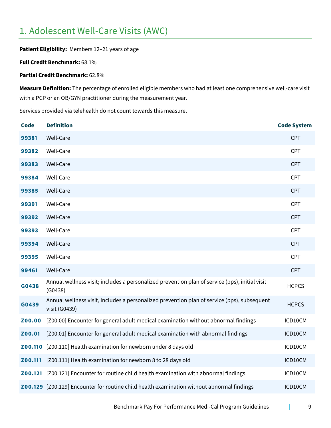## <span id="page-8-0"></span>1. Adolescent Well-Care Visits (AWC)

**Patient Eligibility:** Members 12–21 years of age

**Full Credit Benchmark:** 68.1%

**Partial Credit Benchmark:** 62.8%

**Measure Definition:** The percentage of enrolled eligible members who had at least one comprehensive well-care visit with a PCP or an OB/GYN practitioner during the measurement year.

Services provided via telehealth do not count towards this measure.

| <b>Code</b> | <b>Definition</b>                                                                                            | <b>Code System</b> |
|-------------|--------------------------------------------------------------------------------------------------------------|--------------------|
| 99381       | Well-Care                                                                                                    | <b>CPT</b>         |
| 99382       | Well-Care                                                                                                    | <b>CPT</b>         |
| 99383       | Well-Care                                                                                                    | <b>CPT</b>         |
| 99384       | Well-Care                                                                                                    | <b>CPT</b>         |
| 99385       | Well-Care                                                                                                    | <b>CPT</b>         |
| 99391       | Well-Care                                                                                                    | <b>CPT</b>         |
| 99392       | Well-Care                                                                                                    | <b>CPT</b>         |
| 99393       | Well-Care                                                                                                    | <b>CPT</b>         |
| 99394       | Well-Care                                                                                                    | <b>CPT</b>         |
| 99395       | Well-Care                                                                                                    | <b>CPT</b>         |
| 99461       | Well-Care                                                                                                    | <b>CPT</b>         |
| G0438       | Annual wellness visit; includes a personalized prevention plan of service (pps), initial visit<br>(G0438)    | <b>HCPCS</b>       |
| G0439       | Annual wellness visit, includes a personalized prevention plan of service (pps), subsequent<br>visit (G0439) | <b>HCPCS</b>       |
| Z00.00      | [Z00.00] Encounter for general adult medical examination without abnormal findings                           | ICD10CM            |
| Z00.01      | [Z00.01] Encounter for general adult medical examination with abnormal findings                              | ICD10CM            |
| Z00.110     | [Z00.110] Health examination for newborn under 8 days old                                                    | ICD10CM            |
| Z00.111     | [Z00.111] Health examination for newborn 8 to 28 days old                                                    | ICD10CM            |
| Z00.121     | [Z00.121] Encounter for routine child health examination with abnormal findings                              | ICD10CM            |
|             | Z00.129 [Z00.129] Encounter for routine child health examination without abnormal findings                   | ICD10CM            |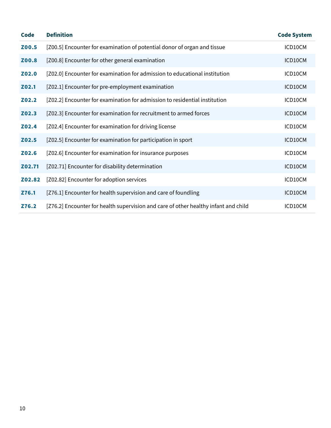| <b>Code</b> | <b>Definition</b>                                                                   | <b>Code System</b> |
|-------------|-------------------------------------------------------------------------------------|--------------------|
| Z00.5       | [Z00.5] Encounter for examination of potential donor of organ and tissue            | ICD10CM            |
| Z00.8       | [Z00.8] Encounter for other general examination                                     | ICD10CM            |
| Z02.0       | [Z02.0] Encounter for examination for admission to educational institution          | ICD10CM            |
| Z02.1       | [Z02.1] Encounter for pre-employment examination                                    | ICD10CM            |
| Z02.2       | [Z02.2] Encounter for examination for admission to residential institution          | ICD10CM            |
| Z02.3       | [Z02.3] Encounter for examination for recruitment to armed forces                   | ICD10CM            |
| Z02.4       | [Z02.4] Encounter for examination for driving license                               | ICD10CM            |
| Z02.5       | [Z02.5] Encounter for examination for participation in sport                        | ICD10CM            |
| Z02.6       | [Z02.6] Encounter for examination for insurance purposes                            | ICD10CM            |
| Z02.71      | [Z02.71] Encounter for disability determination                                     | ICD10CM            |
| Z02.82      | [Z02.82] Encounter for adoption services                                            | ICD10CM            |
| Z76.1       | [Z76.1] Encounter for health supervision and care of foundling                      | ICD10CM            |
| Z76.2       | [Z76.2] Encounter for health supervision and care of other healthy infant and child | ICD10CM            |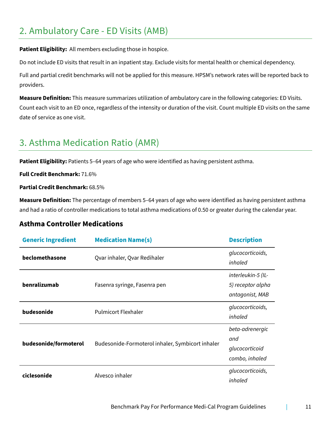## <span id="page-10-0"></span>2. Ambulatory Care - ED Visits (AMB)

**Patient Eligibility:** All members excluding those in hospice.

Do not include ED visits that result in an inpatient stay. Exclude visits for mental health or chemical dependency.

Full and partial credit benchmarks will not be applied for this measure. HPSM's network rates will be reported back to providers.

**Measure Definition:** This measure summarizes utilization of ambulatory care in the following categories: ED Visits. Count each visit to an ED once, regardless of the intensity or duration of the visit. Count multiple ED visits on the same date of service as one visit.

## <span id="page-10-1"></span>3. Asthma Medication Ratio (AMR)

**Patient Eligibility:** Patients 5–64 years of age who were identified as having persistent asthma.

**Full Credit Benchmark:** 71.6%

**Partial Credit Benchmark:** 68.5%

**Measure Definition:** The percentage of members 5–64 years of age who were identified as having persistent asthma and had a ratio of controller medications to total asthma medications of 0.50 or greater during the calendar year.

### **Asthma Controller Medications**

| <b>Generic Ingredient</b> | <b>Medication Name(s)</b>                        | <b>Description</b>                                         |
|---------------------------|--------------------------------------------------|------------------------------------------------------------|
| beclomethasone            | Qvar inhaler, Qvar Redihaler                     | glucocorticoids,<br>inhaled                                |
| benralizumab              | Fasenra syringe, Fasenra pen                     | interleukin-5 (IL-<br>5) receptor alpha<br>antagonist, MAB |
| budesonide                | <b>Pulmicort Flexhaler</b>                       | glucocorticoids,<br>inhaled                                |
| budesonide/formoterol     | Budesonide-Formoterol inhaler, Symbicort inhaler | beta-adrenergic<br>and<br>glucocorticoid<br>combo, inhaled |
| ciclesonide               | Alvesco inhaler                                  | glucocorticoids,<br>inhaled                                |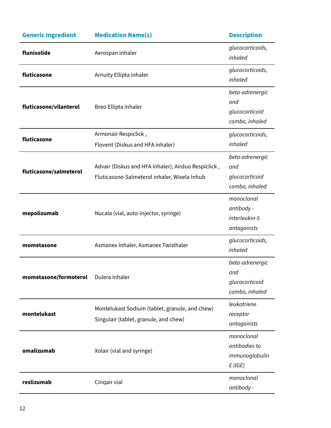| <b>Generic Ingredient</b> | <b>Medication Name(s)</b>                                                                           | <b>Description</b>                                         |
|---------------------------|-----------------------------------------------------------------------------------------------------|------------------------------------------------------------|
| flunisolide               | Aerospan inhaler                                                                                    | glucocorticoids,<br>inhaled                                |
| fluticasone               | Arnuity Ellipta inhaler                                                                             | glucocorticoids,<br>inhaled                                |
| fluticasone/vilanterol    | Breo Ellipta inhaler                                                                                | beta-adrenergic<br>and<br>glucocorticoid<br>combo, inhaled |
| fluticasone               | Armonair Respiclick,                                                                                | glucocorticoids,                                           |
|                           | Flovent (Diskus and HFA inhaler)                                                                    | inhaled                                                    |
| fluticasone/salmeterol    | Advair (Diskus and HFA inhaler), Airduo Respiclick,<br>Fluticasone-Salmeterol inhaler, Wixela Inhub | beta-adrenergic<br>and<br>glucocorticoid<br>combo, inhaled |
| mepolizumab               | Nucala (vial, auto-injector, syringe)                                                               | monoclonal<br>antibody -<br>interleukin-5<br>antagonists   |
| mometasone                | Asmanex Inhaler, Asmanex Twisthaler                                                                 | glucocorticoids,<br>inhaled                                |
| mometasone/formoterol     | Dulera inhaler                                                                                      | beta-adrenergic<br>and<br>glucocorticoid<br>combo, inhaled |
| montelukast               | Montelukast Sodium (tablet, granule, and chew)<br>Singulair (tablet, granule, and chew)             | leukotriene<br>receptor<br>antagonists                     |
| omalizumab                | Xolair (vial and syringe)                                                                           | monoclonal<br>antibodies to<br>immunoglobulin<br>$E$ (IGE) |
| reslizumab                | Cinqair vial                                                                                        | monoclonal<br>antibody -                                   |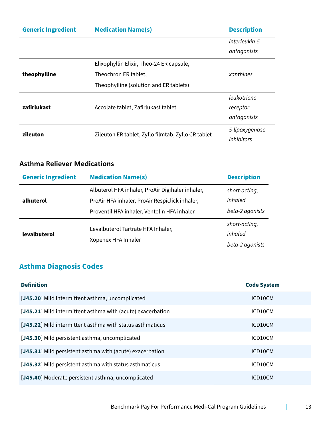| <b>Generic Ingredient</b> | <b>Medication Name(s)</b>                          | <b>Description</b> |  |
|---------------------------|----------------------------------------------------|--------------------|--|
|                           |                                                    | interleukin-5      |  |
|                           |                                                    | antagonists        |  |
|                           | Elixophyllin Elixir, Theo-24 ER capsule,           |                    |  |
| theophylline              | Theochron ER tablet,                               | xanthines          |  |
|                           | Theophylline (solution and ER tablets)             |                    |  |
|                           |                                                    | leukotriene        |  |
| zafirlukast               | Accolate tablet, Zafirlukast tablet                | receptor           |  |
|                           |                                                    | antagonists        |  |
| zileuton                  | Zileuton ER tablet, Zyflo filmtab, Zyflo CR tablet | 5-lipoxygenase     |  |
|                           |                                                    | <i>inhibitors</i>  |  |

### <span id="page-12-0"></span>**Asthma Reliever Medications**

| <b>Generic Ingredient</b> | <b>Medication Name(s)</b>                                                                                                                         | <b>Description</b>                          |
|---------------------------|---------------------------------------------------------------------------------------------------------------------------------------------------|---------------------------------------------|
| albuterol                 | Albuterol HFA inhaler, ProAir Digihaler inhaler,<br>ProAir HFA inhaler, ProAir Respiclick inhaler,<br>Proventil HFA inhaler, Ventolin HFA inhaler | short-acting,<br>inhaled<br>beta-2 agonists |
| levalbuterol              | Levalbuterol Tartrate HFA Inhaler,<br>Xopenex HFA Inhaler                                                                                         | short-acting,<br>inhaled<br>beta-2 agonists |

## <span id="page-12-1"></span>**Asthma Diagnosis Codes**

| <b>Definition</b>                                           | <b>Code System</b> |
|-------------------------------------------------------------|--------------------|
| [J45.20] Mild intermittent asthma, uncomplicated            | ICD10CM            |
| [J45.21] Mild intermittent asthma with (acute) exacerbation | ICD10CM            |
| [J45.22] Mild intermittent asthma with status asthmaticus   | ICD10CM            |
| [J45.30] Mild persistent asthma, uncomplicated              | ICD10CM            |
| [J45.31] Mild persistent asthma with (acute) exacerbation   | ICD10CM            |
| [J45.32] Mild persistent asthma with status asthmaticus     | ICD10CM            |
| [J45.40] Moderate persistent asthma, uncomplicated          | ICD10CM            |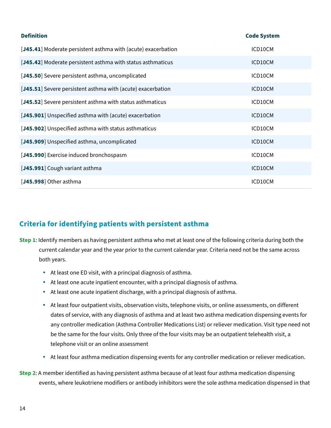| <b>Definition</b>                                             | <b>Code System</b> |
|---------------------------------------------------------------|--------------------|
| [J45.41] Moderate persistent asthma with (acute) exacerbation | ICD10CM            |
| [J45.42] Moderate persistent asthma with status asthmaticus   | ICD10CM            |
| [J45.50] Severe persistent asthma, uncomplicated              | ICD10CM            |
| [J45.51] Severe persistent asthma with (acute) exacerbation   | ICD10CM            |
| [J45.52] Severe persistent asthma with status asthmaticus     | ICD10CM            |
| [J45.901] Unspecified asthma with (acute) exacerbation        | ICD10CM            |
| [J45.902] Unspecified asthma with status asthmaticus          | ICD10CM            |
| [J45.909] Unspecified asthma, uncomplicated                   | ICD10CM            |
| [J45.990] Exercise induced bronchospasm                       | ICD10CM            |
| [J45.991] Cough variant asthma                                | ICD10CM            |
| [J45.998] Other asthma                                        | ICD10CM            |

## <span id="page-13-0"></span>**Criteria for identifying patients with persistent asthma**

- **Step 1**: Identify members as having persistent asthma who met at least one of the following criteria during both the current calendar year and the year prior to the current calendar year. Criteria need not be the same across both years.
	- At least one ED visit, with a principal diagnosis of asthma.
	- At least one acute inpatient encounter, with a principal diagnosis of asthma.
	- At least one acute inpatient discharge, with a principal diagnosis of asthma.
	- At least four outpatient visits, observation visits, telephone visits, or online assessments, on different dates of service, with any diagnosis of asthma and at least two asthma medication dispensing events for any controller medication (Asthma Controller Medications List) or reliever medication. Visit type need not be the same for the four visits. Only three of the four visits may be an outpatient telehealth visit, a telephone visit or an online assessment
	- At least four asthma medication dispensing events for any controller medication or reliever medication.
- **Step 2**: A member identified as having persistent asthma because of at least four asthma medication dispensing events, where leukotriene modifiers or antibody inhibitors were the sole asthma medication dispensed in that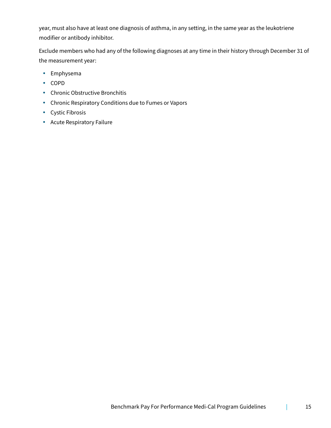year, must also have at least one diagnosis of asthma, in any setting, in the same year as the leukotriene modifier or antibody inhibitor.

Exclude members who had any of the following diagnoses at any time in their history through December 31 of the measurement year:

- Emphysema
- COPD
- Chronic Obstructive Bronchitis
- Chronic Respiratory Conditions due to Fumes or Vapors
- Cystic Fibrosis
- Acute Respiratory Failure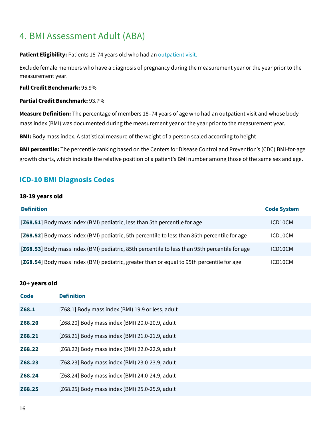## <span id="page-15-0"></span>4. BMI Assessment Adult (ABA)

Patient Eligibility: Patients 18-74 years old who had an **outpatient visit.** 

Exclude female members who have a diagnosis of pregnancy during the measurement year or the year prior to the measurement year.

**Full Credit Benchmark:** 95.9%

**Partial Credit Benchmark:** 93.7%

**Measure Definition:** The percentage of members 18–74 years of age who had an outpatient visit and whose body mass index (BMI) was documented during the measurement year or the year prior to the measurement year.

**BMI:** Body mass index. A statistical measure of the weight of a person scaled according to height

**BMI percentile:** The percentile ranking based on the Centers for Disease Control and Prevention's (CDC) BMI-for-age growth charts, which indicate the relative position of a patient's BMI number among those of the same sex and age.

### <span id="page-15-1"></span>**ICD-10 BMI Diagnosis Codes**

#### **18-19 years old**

| <b>Definition</b>                                                                              | <b>Code System</b> |
|------------------------------------------------------------------------------------------------|--------------------|
| [Z68.51] Body mass index (BMI) pediatric, less than 5th percentile for age                     | ICD10CM            |
| [Z68.52] Body mass index (BMI) pediatric, 5th percentile to less than 85th percentile for age  | ICD10CM            |
| [Z68.53] Body mass index (BMI) pediatric, 85th percentile to less than 95th percentile for age | ICD10CM            |
| [Z68.54] Body mass index (BMI) pediatric, greater than or equal to 95th percentile for age     | ICD10CM            |

#### **20+ years old**

| <b>Code</b> | <b>Definition</b>                                 |
|-------------|---------------------------------------------------|
| Z68.1       | [Z68.1] Body mass index (BMI) 19.9 or less, adult |
| Z68.20      | [Z68.20] Body mass index (BMI) 20.0-20.9, adult   |
| Z68.21      | [Z68.21] Body mass index (BMI) 21.0-21.9, adult   |
| Z68.22      | [Z68.22] Body mass index (BMI) 22.0-22.9, adult   |
| Z68.23      | [Z68.23] Body mass index (BMI) 23.0-23.9, adult   |
| Z68.24      | [Z68.24] Body mass index (BMI) 24.0-24.9, adult   |
| Z68.25      | [Z68.25] Body mass index (BMI) 25.0-25.9, adult   |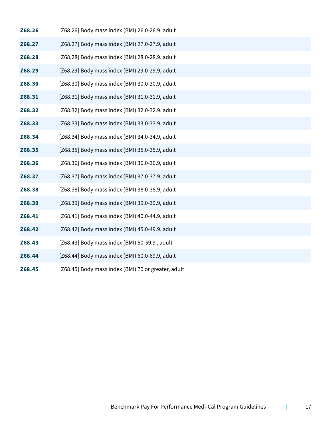| Z68.26 | [Z68.26] Body mass index (BMI) 26.0-26.9, adult     |
|--------|-----------------------------------------------------|
| Z68.27 | [Z68.27] Body mass index (BMI) 27.0-27.9, adult     |
| Z68.28 | [Z68.28] Body mass index (BMI) 28.0-28.9, adult     |
| Z68.29 | [Z68.29] Body mass index (BMI) 29.0-29.9, adult     |
| Z68.30 | [Z68.30] Body mass index (BMI) 30.0-30.9, adult     |
| Z68.31 | [Z68.31] Body mass index (BMI) 31.0-31.9, adult     |
| Z68.32 | [Z68.32] Body mass index (BMI) 32.0-32.9, adult     |
| Z68.33 | [Z68.33] Body mass index (BMI) 33.0-33.9, adult     |
| Z68.34 | [Z68.34] Body mass index (BMI) 34.0-34.9, adult     |
| Z68.35 | [Z68.35] Body mass index (BMI) 35.0-35.9, adult     |
| Z68.36 | [Z68.36] Body mass index (BMI) 36.0-36.9, adult     |
| Z68.37 | [Z68.37] Body mass index (BMI) 37.0-37.9, adult     |
| Z68.38 | [Z68.38] Body mass index (BMI) 38.0-38.9, adult     |
| Z68.39 | [Z68.39] Body mass index (BMI) 39.0-39.9, adult     |
| Z68.41 | [Z68.41] Body mass index (BMI) 40.0-44.9, adult     |
| Z68.42 | [Z68.42] Body mass index (BMI) 45.0-49.9, adult     |
| Z68.43 | [Z68.43] Body mass index (BMI) 50-59.9, adult       |
| Z68.44 | [Z68.44] Body mass index (BMI) 60.0-69.9, adult     |
| Z68.45 | [Z68.45] Body mass index (BMI) 70 or greater, adult |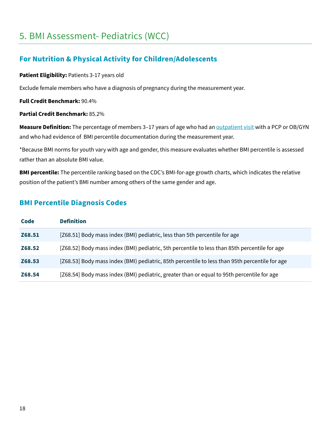## <span id="page-17-0"></span>5. BMI Assessment- Pediatrics (WCC)

### <span id="page-17-1"></span>**For Nutrition & Physical Activity for Children/Adolescents**

#### **Patient Eligibility:** Patients 3-17 years old

Exclude female members who have a diagnosis of pregnancy during the measurement year.

**Full Credit Benchmark:** 90.4%

#### **Partial Credit Benchmark:** 85.2%

**Measure Definition:** The percentage of members 3–17 years of age who had an **outpatient visit with a PCP** or OB/GYN and who had evidence of BMI percentile documentation during the measurement year.

\*Because BMI norms for youth vary with age and gender, this measure evaluates whether BMI percentile is assessed rather than an absolute BMI value.

**BMI percentile:** The percentile ranking based on the CDC's BMI-for-age growth charts, which indicates the relative position of the patient's BMI number among others of the same gender and age.

### <span id="page-17-2"></span>**BMI Percentile Diagnosis Codes**

| Code   | <b>Definition</b>                                                                              |
|--------|------------------------------------------------------------------------------------------------|
| Z68.51 | [Z68.51] Body mass index (BMI) pediatric, less than 5th percentile for age                     |
| Z68.52 | [Z68.52] Body mass index (BMI) pediatric, 5th percentile to less than 85th percentile for age  |
| Z68.53 | [Z68.53] Body mass index (BMI) pediatric, 85th percentile to less than 95th percentile for age |
| Z68.54 | [Z68.54] Body mass index (BMI) pediatric, greater than or equal to 95th percentile for age     |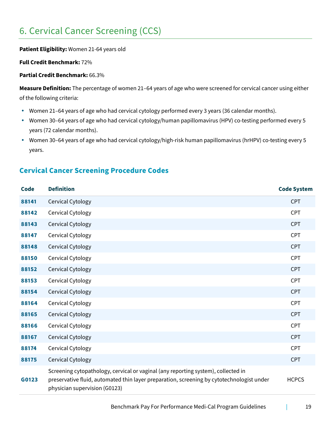## <span id="page-18-0"></span>6. Cervical Cancer Screening (CCS)

**Patient Eligibility:** Women 21-64 years old

**Full Credit Benchmark:** 72%

**Partial Credit Benchmark:** 66.3%

**Measure Definition:** The percentage of women 21–64 years of age who were screened for cervical cancer using either of the following criteria:

- Women 21–64 years of age who had cervical cytology performed every 3 years (36 calendar months).
- Women 30–64 years of age who had cervical cytology/human papillomavirus (HPV) co-testing performed every 5 years (72 calendar months).
- Women 30–64 years of age who had cervical cytology/high-risk human papillomavirus (hrHPV) co-testing every 5 years.

### <span id="page-18-1"></span>**Cervical Cancer Screening Procedure Codes**

| <b>Code</b> | <b>Definition</b>                                                                                                                                                                                               | <b>Code System</b> |
|-------------|-----------------------------------------------------------------------------------------------------------------------------------------------------------------------------------------------------------------|--------------------|
| 88141       | Cervical Cytology                                                                                                                                                                                               | <b>CPT</b>         |
| 88142       | Cervical Cytology                                                                                                                                                                                               | CPT                |
| 88143       | Cervical Cytology                                                                                                                                                                                               | <b>CPT</b>         |
| 88147       | Cervical Cytology                                                                                                                                                                                               | CPT                |
| 88148       | Cervical Cytology                                                                                                                                                                                               | <b>CPT</b>         |
| 88150       | Cervical Cytology                                                                                                                                                                                               | <b>CPT</b>         |
| 88152       | Cervical Cytology                                                                                                                                                                                               | CPT                |
| 88153       | Cervical Cytology                                                                                                                                                                                               | CPT                |
| 88154       | Cervical Cytology                                                                                                                                                                                               | <b>CPT</b>         |
| 88164       | Cervical Cytology                                                                                                                                                                                               | <b>CPT</b>         |
| 88165       | Cervical Cytology                                                                                                                                                                                               | <b>CPT</b>         |
| 88166       | Cervical Cytology                                                                                                                                                                                               | <b>CPT</b>         |
| 88167       | Cervical Cytology                                                                                                                                                                                               | CPT                |
| 88174       | Cervical Cytology                                                                                                                                                                                               | CPT                |
| 88175       | Cervical Cytology                                                                                                                                                                                               | <b>CPT</b>         |
| G0123       | Screening cytopathology, cervical or vaginal (any reporting system), collected in<br>preservative fluid, automated thin layer preparation, screening by cytotechnologist under<br>physician supervision (G0123) | <b>HCPCS</b>       |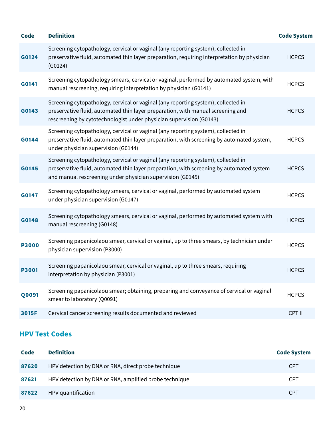| <b>Code</b>  | <b>Definition</b>                                                                                                                                                                                                                           | <b>Code System</b> |
|--------------|---------------------------------------------------------------------------------------------------------------------------------------------------------------------------------------------------------------------------------------------|--------------------|
| G0124        | Screening cytopathology, cervical or vaginal (any reporting system), collected in<br>preservative fluid, automated thin layer preparation, requiring interpretation by physician<br>(G0124)                                                 | <b>HCPCS</b>       |
| G0141        | Screening cytopathology smears, cervical or vaginal, performed by automated system, with<br>manual rescreening, requiring interpretation by physician (G0141)                                                                               | <b>HCPCS</b>       |
| G0143        | Screening cytopathology, cervical or vaginal (any reporting system), collected in<br>preservative fluid, automated thin layer preparation, with manual screening and<br>rescreening by cytotechnologist under physician supervision (G0143) | <b>HCPCS</b>       |
| G0144        | Screening cytopathology, cervical or vaginal (any reporting system), collected in<br>preservative fluid, automated thin layer preparation, with screening by automated system,<br>under physician supervision (G0144)                       | <b>HCPCS</b>       |
| G0145        | Screening cytopathology, cervical or vaginal (any reporting system), collected in<br>preservative fluid, automated thin layer preparation, with screening by automated system<br>and manual rescreening under physician supervision (G0145) | <b>HCPCS</b>       |
| G0147        | Screening cytopathology smears, cervical or vaginal, performed by automated system<br>under physician supervision (G0147)                                                                                                                   | <b>HCPCS</b>       |
| G0148        | Screening cytopathology smears, cervical or vaginal, performed by automated system with<br>manual rescreening (G0148)                                                                                                                       | <b>HCPCS</b>       |
| <b>P3000</b> | Screening papanicolaou smear, cervical or vaginal, up to three smears, by technician under<br>physician supervision (P3000)                                                                                                                 | <b>HCPCS</b>       |
| <b>P3001</b> | Screening papanicolaou smear, cervical or vaginal, up to three smears, requiring<br>interpretation by physician (P3001)                                                                                                                     | <b>HCPCS</b>       |
| Q0091        | Screening papanicolaou smear; obtaining, preparing and conveyance of cervical or vaginal<br>smear to laboratory (Q0091)                                                                                                                     | <b>HCPCS</b>       |
| 3015F        | Cervical cancer screening results documented and reviewed                                                                                                                                                                                   | CPT II             |

## <span id="page-19-0"></span>**HPV Test Codes**

| Code  | <b>Definition</b>                                      | <b>Code System</b> |
|-------|--------------------------------------------------------|--------------------|
| 87620 | HPV detection by DNA or RNA, direct probe technique    | <b>CPT</b>         |
| 87621 | HPV detection by DNA or RNA, amplified probe technique | <b>CPT</b>         |
| 87622 | HPV quantification                                     | <b>CPT</b>         |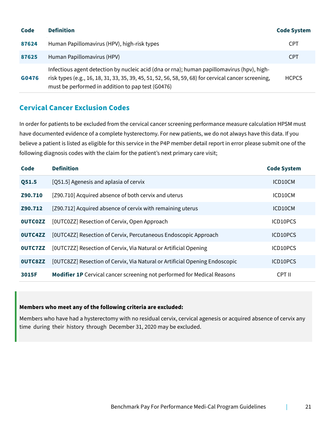| Code  | <b>Definition</b>                                                                                                                                                                                                                                       | <b>Code System</b> |
|-------|---------------------------------------------------------------------------------------------------------------------------------------------------------------------------------------------------------------------------------------------------------|--------------------|
| 87624 | Human Papillomavirus (HPV), high-risk types                                                                                                                                                                                                             | <b>CPT</b>         |
| 87625 | Human Papillomavirus (HPV)                                                                                                                                                                                                                              | <b>CPT</b>         |
| G0476 | Infectious agent detection by nucleic acid (dna or rna); human papillomavirus (hpv), high-<br>risk types (e.g., 16, 18, 31, 33, 35, 39, 45, 51, 52, 56, 58, 59, 68) for cervical cancer screening,<br>must be performed in addition to pap test (G0476) | <b>HCPCS</b>       |

### <span id="page-20-0"></span>**Cervical Cancer Exclusion Codes**

In order for patients to be excluded from the cervical cancer screening performance measure calculation HPSM must have documented evidence of a complete hysterectomy. For new patients, we do not always have this data. If you believe a patient is listed as eligible for this service in the P4P member detail report in error please submit one of the following diagnosis codes with the claim for the patient's next primary care visit;

| Code           | <b>Definition</b>                                                              | <b>Code System</b> |
|----------------|--------------------------------------------------------------------------------|--------------------|
| Q51.5          | [Q51.5] Agenesis and aplasia of cervix                                         | ICD10CM            |
| Z90.710        | [Z90.710] Acquired absence of both cervix and uterus                           | ICD10CM            |
| Z90.712        | [Z90.712] Acquired absence of cervix with remaining uterus                     | ICD10CM            |
| <b>OUTCOZZ</b> | [OUTC0ZZ] Resection of Cervix, Open Approach                                   | ICD10PCS           |
| <b>OUTC4ZZ</b> | [OUTC4ZZ] Resection of Cervix, Percutaneous Endoscopic Approach                | ICD10PCS           |
| <b>OUTC7ZZ</b> | [OUTC7ZZ] Resection of Cervix, Via Natural or Artificial Opening               | ICD10PCS           |
| <b>OUTC8ZZ</b> | [OUTC8ZZ] Resection of Cervix, Via Natural or Artificial Opening Endoscopic    | ICD10PCS           |
| 3015F          | <b>Modifier 1P</b> Cervical cancer screening not performed for Medical Reasons | CPT II             |

#### **Members who meet any of the following criteria are excluded:**

Members who have had a hysterectomy with no residual cervix, cervical agenesis or acquired absence of cervix any time during their history through December 31, 2020 may be excluded.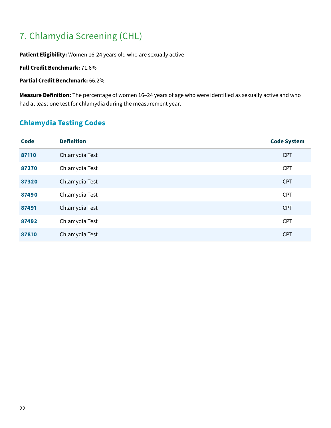## <span id="page-21-0"></span>7. Chlamydia Screening (CHL)

**Patient Eligibility:** Women 16-24 years old who are sexually active

**Full Credit Benchmark:** 71.6%

**Partial Credit Benchmark:** 66.2%

**Measure Definition:** The percentage of women 16–24 years of age who were identified as sexually active and who had at least one test for chlamydia during the measurement year.

## <span id="page-21-1"></span>**Chlamydia Testing Codes**

| <b>Code</b> | <b>Definition</b> | <b>Code System</b> |
|-------------|-------------------|--------------------|
| 87110       | Chlamydia Test    | <b>CPT</b>         |
| 87270       | Chlamydia Test    | <b>CPT</b>         |
| 87320       | Chlamydia Test    | <b>CPT</b>         |
| 87490       | Chlamydia Test    | <b>CPT</b>         |
| 87491       | Chlamydia Test    | <b>CPT</b>         |
| 87492       | Chlamydia Test    | <b>CPT</b>         |
| 87810       | Chlamydia Test    | <b>CPT</b>         |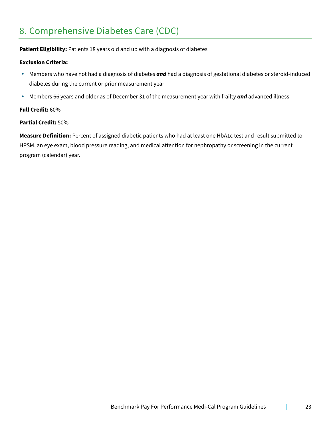## <span id="page-22-0"></span>8. Comprehensive Diabetes Care (CDC)

### **Patient Eligibility:** Patients 18 years old and up with a diagnosis of diabetes

#### **Exclusion Criteria:**

- Members who have not had a diagnosis of diabetes *and* had a diagnosis of gestational diabetes or steroid-induced diabetes during the current or prior measurement year
- Members 66 years and older as of December 31 of the measurement year with frailty *and* advanced illness

#### **Full Credit:** 60%

#### **Partial Credit:** 50%

**Measure Definition:** Percent of assigned diabetic patients who had at least one HbA1c test and result submitted to HPSM, an eye exam, blood pressure reading, and medical attention for nephropathy or screening in the current program (calendar) year.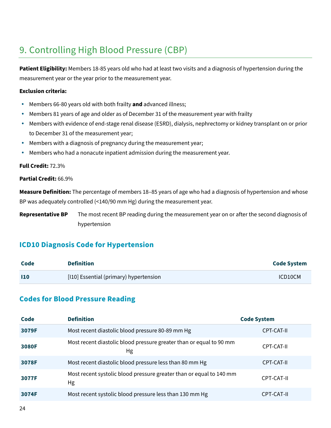## <span id="page-23-0"></span>9. Controlling High Blood Pressure (CBP)

**Patient Eligibility:** Members 18-85 years old who had at least two visits and a diagnosis of hypertension during the measurement year or the year prior to the measurement year.

#### **Exclusion criteria:**

- Members 66-80 years old with both frailty **and** advanced illness;
- Members 81 years of age and older as of December 31 of the measurement year with frailty
- Members with evidence of end-stage renal disease (ESRD), dialysis, nephrectomy or kidney transplant on or prior to December 31 of the measurement year;
- Members with a diagnosis of pregnancy during the measurement year;
- Members who had a nonacute inpatient admission during the measurement year.

#### **Full Credit:** 72.3%

#### **Partial Credit:** 66.9%

**Measure Definition:** The percentage of members 18–85 years of age who had a diagnosis of hypertension and whose BP was adequately controlled (<140/90 mm Hg) during the measurement year.

**Representative BP** The most recent BP reading during the measurement year on or after the second diagnosis of hypertension

### <span id="page-23-1"></span>**ICD10 Diagnosis Code for Hypertension**

| Code       | Definition                             | <b>Code System</b> |
|------------|----------------------------------------|--------------------|
| <b>110</b> | [110] Essential (primary) hypertension | ICD10CM            |

### <span id="page-23-2"></span>**Codes for Blood Pressure Reading**

| Code         | <b>Definition</b>                                                         | <b>Code System</b> |
|--------------|---------------------------------------------------------------------------|--------------------|
| 3079F        | Most recent diastolic blood pressure 80-89 mm Hg                          | CPT-CAT-II         |
| <b>3080F</b> | Most recent diastolic blood pressure greater than or equal to 90 mm<br>Hg | CPT-CAT-II         |
| 3078F        | Most recent diastolic blood pressure less than 80 mm Hg                   | CPT-CAT-II         |
| 3077F        | Most recent systolic blood pressure greater than or equal to 140 mm<br>Hg | CPT-CAT-II         |
| 3074F        | Most recent systolic blood pressure less than 130 mm Hg                   | CPT-CAT-II         |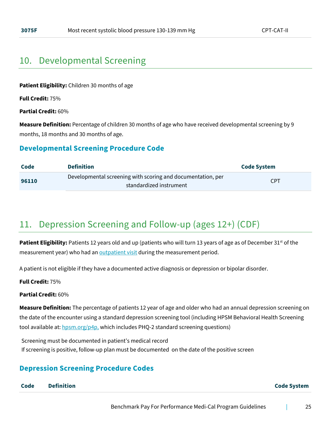## <span id="page-24-0"></span>10. Developmental Screening

**Patient Eligibility:** Children 30 months of age

**Full Credit:** 75%

**Partial Credit:** 60%

**Measure Definition:** Percentage of children 30 months of age who have received developmental screening by 9 months, 18 months and 30 months of age.

### **Developmental Screening Procedure Code**

| Code  | <b>Definition</b>                                                                      | Code System |  |
|-------|----------------------------------------------------------------------------------------|-------------|--|
| 96110 | Developmental screening with scoring and documentation, per<br>standardized instrument | <b>CPT</b>  |  |

## <span id="page-24-1"></span>11. Depression Screening and Follow-up (ages 12+) (CDF)

**Patient Eligibility:** Patients 12 years old and up (patients who will turn 13 years of age as of December 31<sup>st</sup> of the measurement year) who had a[n](https://www.hpsm.org/docs/default-source/provider-services/outpatient-visit-codes.pdf?sfvrsn=7b3976c1_22) **[outpatient visit](https://www.hpsm.org/docs/default-source/provider-services/outpatient-visit-codes.pdf?sfvrsn=7b3976c1_22) during the measurement period**.

A patient is not eligible if they have a documented active diagnosis or depression or bipolar disorder.

**Full Credit:** 75%

#### **Partial Credit:** 60%

**Measure Definition:** The percentage of patients 12 year of age and older who had an annual depression screening on the date of the encounter using a standard depression screening tool (including HPSM Behavioral Health Screening tool available at:  $hpsm.org/p4p$ , which includes PHQ-2 standard screening questions)

Screening must be documented in patient's medical record If screening is positive, follow-up plan must be documented on the date of the positive screen

### <span id="page-24-2"></span>**Depression Screening Procedure Codes**

**Code Definition Code System**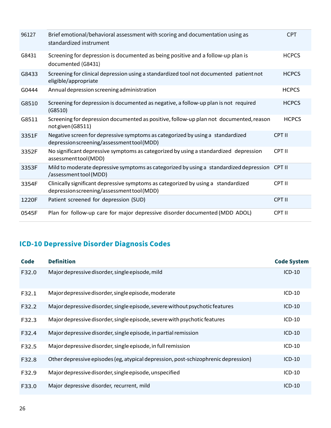| 96127 | Brief emotional/behavioral assessment with scoring and documentation using as<br>standardized instrument                        | <b>CPT</b>    |
|-------|---------------------------------------------------------------------------------------------------------------------------------|---------------|
| G8431 | Screening for depression is documented as being positive and a follow-up plan is<br>documented (G8431)                          | <b>HCPCS</b>  |
| G8433 | Screening for clinical depression using a standardized tool not documented patient not<br>eligible/appropriate                  | <b>HCPCS</b>  |
| G0444 | Annual depression screening administration                                                                                      | <b>HCPCS</b>  |
| G8510 | Screening for depression is documented as negative, a follow-up plan is not required<br>(G8510)                                 | <b>HCPCS</b>  |
| G8511 | Screening for depression documented as positive, follow-up plan not documented, reason<br>not given (G8511)                     | <b>HCPCS</b>  |
| 3351F | Negative screen for depressive symptoms as categorized by using a standardized<br>depression screening/assessment tool (MDD)    | <b>CPT II</b> |
| 3352F | No significant depressive symptoms as categorized by using a standardized depression<br>assessmenttool(MDD)                     | CPT II        |
| 3353F | Mild to moderate depressive symptoms as categorized by using a standardized depression<br>/assessment tool (MDD)                | CPT II        |
| 3354F | Clinically significant depressive symptoms as categorized by using a standardized<br>depression screening/assessment tool (MDD) | <b>CPT II</b> |
| 1220F | Patient screened for depression (SUD)                                                                                           | <b>CPT II</b> |
| 0545F | Plan for follow-up care for major depressive disorder documented (MDD ADOL)                                                     | <b>CPT II</b> |

## **ICD-10 Depressive Disorder Diagnosis Codes**

| Code  | <b>Definition</b>                                                                  | <b>Code System</b> |
|-------|------------------------------------------------------------------------------------|--------------------|
| F32.0 | Major depressive disorder, single episode, mild                                    | $ICD-10$           |
| F32.1 | Major depressive disorder, single episode, moderate                                | $ICD-10$           |
| F32.2 | Major depressive disorder, single episode, severe without psychotic features       | $ICD-10$           |
| F32.3 | Major depressive disorder, single episode, severe with psychotic features          | $ICD-10$           |
| F32.4 | Major depressive disorder, single episode, in partial remission                    | $ICD-10$           |
| F32.5 | Major depressive disorder, single episode, in full remission                       | $ICD-10$           |
| F32.8 | Other depressive episodes (eg, atypical depression, post-schizophrenic depression) | $ICD-10$           |
| F32.9 | Major depressive disorder, single episode, unspecified                             | $ICD-10$           |
| F33.0 | Major depressive disorder, recurrent, mild                                         | $ICD-10$           |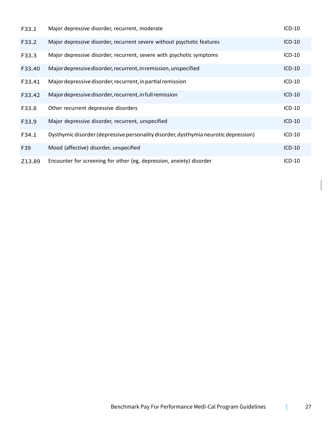| F33.1  | Major depressive disorder, recurrent, moderate                                      | ICD-10   |
|--------|-------------------------------------------------------------------------------------|----------|
| F33.2  | Major depressive disorder, recurrent severe without psychotic features              | $ICD-10$ |
| F33.3  | Major depressive disorder, recurrent, severe with psychotic symptoms                | ICD-10   |
| F33.40 | Major depressive disorder, recurrent, in remission, unspecified                     | $ICD-10$ |
| F33.41 | Major depressive disorder, recurrent, in partial remission                          | ICD-10   |
| F33.42 | Major depressive disorder, recurrent, in full remission                             | $ICD-10$ |
| F33.8  | Other recurrent depressive disorders                                                | ICD-10   |
| F33.9  | Major depressive disorder, recurrent, unspecified                                   | $ICD-10$ |
| F34.1  | Dysthymic disorder (depressive personality disorder, dysthymia neurotic depression) | ICD-10   |
| F39    | Mood (affective) disorder, unspecified                                              | ICD-10   |
| Z13.89 | Encounter for screening for other (eg, depression, anxiety) disorder                | $ICD-10$ |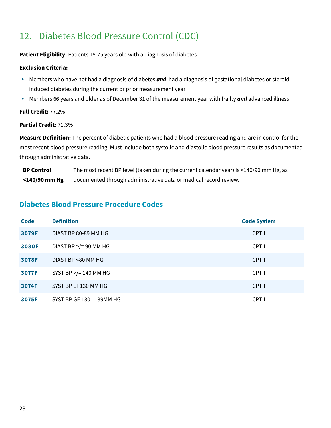## <span id="page-27-0"></span>12. Diabetes Blood Pressure Control (CDC)

Patient Eligibility: Patients 18-75 years old with a diagnosis of diabetes

#### **Exclusion Criteria:**

- Members who have not had a diagnosis of diabetes *and* had a diagnosis of gestational diabetes or steroidinduced diabetes during the current or prior measurement year
- Members 66 years and older as of December 31 of the measurement year with frailty *and* advanced illness

**Full Credit:** 77.2%

#### **Partial Credit:** 71.3%

**Measure Definition:** The percent of diabetic patients who had a blood pressure reading and are in control for the most recent blood pressure reading. Must include both systolic and diastolic blood pressure results as documented through administrative data.

**BP Control <140/90 mm Hg** The most recent BP level (taken during the current calendar year) is <140/90 mm Hg, as documented through administrative data or medical record review.

### <span id="page-27-1"></span>**Diabetes Blood Pressure Procedure Codes**

| <b>Code</b>  | <b>Definition</b>         | <b>Code System</b> |
|--------------|---------------------------|--------------------|
| 3079F        | DIAST BP 80-89 MM HG      | <b>CPTII</b>       |
| <b>3080F</b> | DIAST BP $>$ /= 90 MM HG  | <b>CPTII</b>       |
| 3078F        | DIAST BP <80 MM HG        | <b>CPTII</b>       |
| 3077F        | SYST BP $>$ /= 140 MM HG  | <b>CPTII</b>       |
| 3074F        | SYST BP LT 130 MM HG      | <b>CPTII</b>       |
| 3075F        | SYST BP GE 130 - 139MM HG | <b>CPTII</b>       |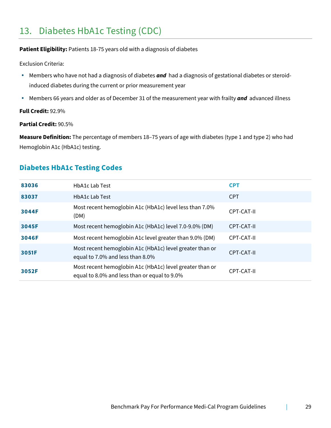## <span id="page-28-0"></span>13. Diabetes HbA1c Testing (CDC)

#### **Patient Eligibility:** Patients 18-75 years old with a diagnosis of diabetes

Exclusion Criteria:

- Members who have not had a diagnosis of diabetes *and* had a diagnosis of gestational diabetes or steroidinduced diabetes during the current or prior measurement year
- Members 66 years and older as of December 31 of the measurement year with frailty *and* advanced illness

**Full Credit:** 92.9%

#### **Partial Credit:** 90.5%

**Measure Definition:** The percentage of members 18–75 years of age with diabetes (type 1 and type 2) who had Hemoglobin A1c (HbA1c) testing.

### <span id="page-28-1"></span>**Diabetes HbA1c Testing Codes**

| 83036 | <b>HbA1c Lab Test</b>                                                                                    | <b>CPT</b> |
|-------|----------------------------------------------------------------------------------------------------------|------------|
| 83037 | <b>HbA1c Lab Test</b>                                                                                    | <b>CPT</b> |
| 3044F | Most recent hemoglobin A1c (HbA1c) level less than 7.0%<br>(DM)                                          | CPT-CAT-II |
| 3045F | Most recent hemoglobin A1c (HbA1c) level 7.0-9.0% (DM)                                                   | CPT-CAT-II |
| 3046F | Most recent hemoglobin A1c level greater than 9.0% (DM)                                                  | CPT-CAT-II |
| 3051F | Most recent hemoglobin A1c (HbA1c) level greater than or<br>equal to 7.0% and less than 8.0%             | CPT-CAT-II |
| 3052F | Most recent hemoglobin A1c (HbA1c) level greater than or<br>equal to 8.0% and less than or equal to 9.0% | CPT-CAT-II |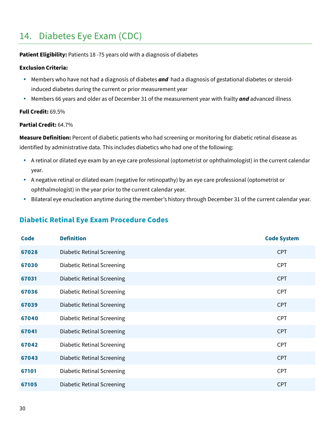## <span id="page-29-0"></span>14. Diabetes Eye Exam (CDC)

#### **Patient Eligibility:** Patients 18 -75 years old with a diagnosis of diabetes

#### **Exclusion Criteria:**

- **Members who have not had a diagnosis of diabetes <b>and** had a diagnosis of gestational diabetes or steroidinduced diabetes during the current or prior measurement year
- Members 66 years and older as of December 31 of the measurement year with frailty *and* advanced illness

#### **Full Credit:** 69.5%

#### **Partial Credit:** 64.7%

**Measure Definition:** Percent of diabetic patients who had screening or monitoring for diabetic retinal disease as identified by administrative data. This includes diabetics who had one of the following:

- A retinal or dilated eye exam by an eye care professional (optometrist or ophthalmologist) in the current calendar year.
- A negative retinal or dilated exam (negative for retinopathy) by an eye care professional (optometrist or ophthalmologist) in the year prior to the current calendar year.
- Bilateral eye enucleation anytime during the member's history through December 31 of the current calendar year.

### <span id="page-29-1"></span>**Diabetic Retinal Eye Exam Procedure Codes**

| <b>Code</b> | <b>Definition</b>                 | <b>Code System</b> |
|-------------|-----------------------------------|--------------------|
| 67028       | <b>Diabetic Retinal Screening</b> | <b>CPT</b>         |
| 67030       | <b>Diabetic Retinal Screening</b> | <b>CPT</b>         |
| 67031       | Diabetic Retinal Screening        | <b>CPT</b>         |
| 67036       | <b>Diabetic Retinal Screening</b> | <b>CPT</b>         |
| 67039       | <b>Diabetic Retinal Screening</b> | <b>CPT</b>         |
| 67040       | <b>Diabetic Retinal Screening</b> | <b>CPT</b>         |
| 67041       | <b>Diabetic Retinal Screening</b> | <b>CPT</b>         |
| 67042       | <b>Diabetic Retinal Screening</b> | <b>CPT</b>         |
| 67043       | <b>Diabetic Retinal Screening</b> | <b>CPT</b>         |
| 67101       | <b>Diabetic Retinal Screening</b> | <b>CPT</b>         |
| 67105       | <b>Diabetic Retinal Screening</b> | <b>CPT</b>         |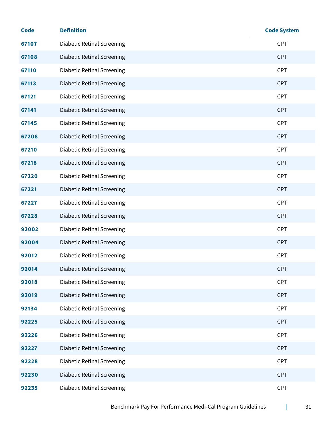| <b>Code</b> | <b>Definition</b>                 | <b>Code System</b> |
|-------------|-----------------------------------|--------------------|
| 67107       | <b>Diabetic Retinal Screening</b> | <b>CPT</b>         |
| 67108       | <b>Diabetic Retinal Screening</b> | <b>CPT</b>         |
| 67110       | <b>Diabetic Retinal Screening</b> | <b>CPT</b>         |
| 67113       | <b>Diabetic Retinal Screening</b> | <b>CPT</b>         |
| 67121       | <b>Diabetic Retinal Screening</b> | <b>CPT</b>         |
| 67141       | <b>Diabetic Retinal Screening</b> | <b>CPT</b>         |
| 67145       | <b>Diabetic Retinal Screening</b> | <b>CPT</b>         |
| 67208       | <b>Diabetic Retinal Screening</b> | <b>CPT</b>         |
| 67210       | <b>Diabetic Retinal Screening</b> | <b>CPT</b>         |
| 67218       | <b>Diabetic Retinal Screening</b> | <b>CPT</b>         |
| 67220       | <b>Diabetic Retinal Screening</b> | <b>CPT</b>         |
| 67221       | <b>Diabetic Retinal Screening</b> | <b>CPT</b>         |
| 67227       | <b>Diabetic Retinal Screening</b> | <b>CPT</b>         |
| 67228       | <b>Diabetic Retinal Screening</b> | <b>CPT</b>         |
| 92002       | <b>Diabetic Retinal Screening</b> | <b>CPT</b>         |
| 92004       | <b>Diabetic Retinal Screening</b> | <b>CPT</b>         |
| 92012       | <b>Diabetic Retinal Screening</b> | <b>CPT</b>         |
| 92014       | <b>Diabetic Retinal Screening</b> | <b>CPT</b>         |
| 92018       | <b>Diabetic Retinal Screening</b> | <b>CPT</b>         |
| 92019       | <b>Diabetic Retinal Screening</b> | <b>CPT</b>         |
| 92134       | <b>Diabetic Retinal Screening</b> | <b>CPT</b>         |
| 92225       | <b>Diabetic Retinal Screening</b> | <b>CPT</b>         |
| 92226       | <b>Diabetic Retinal Screening</b> | <b>CPT</b>         |
| 92227       | <b>Diabetic Retinal Screening</b> | <b>CPT</b>         |
| 92228       | <b>Diabetic Retinal Screening</b> | <b>CPT</b>         |
| 92230       | <b>Diabetic Retinal Screening</b> | <b>CPT</b>         |
| 92235       | <b>Diabetic Retinal Screening</b> | <b>CPT</b>         |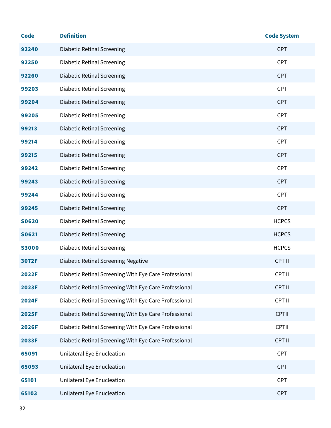| <b>Code</b>  | <b>Definition</b>                                     | <b>Code System</b> |
|--------------|-------------------------------------------------------|--------------------|
| 92240        | <b>Diabetic Retinal Screening</b>                     | <b>CPT</b>         |
| 92250        | <b>Diabetic Retinal Screening</b>                     | <b>CPT</b>         |
| 92260        | <b>Diabetic Retinal Screening</b>                     | <b>CPT</b>         |
| 99203        | <b>Diabetic Retinal Screening</b>                     | <b>CPT</b>         |
| 99204        | <b>Diabetic Retinal Screening</b>                     | <b>CPT</b>         |
| 99205        | <b>Diabetic Retinal Screening</b>                     | <b>CPT</b>         |
| 99213        | <b>Diabetic Retinal Screening</b>                     | <b>CPT</b>         |
| 99214        | <b>Diabetic Retinal Screening</b>                     | <b>CPT</b>         |
| 99215        | <b>Diabetic Retinal Screening</b>                     | <b>CPT</b>         |
| 99242        | <b>Diabetic Retinal Screening</b>                     | <b>CPT</b>         |
| 99243        | <b>Diabetic Retinal Screening</b>                     | <b>CPT</b>         |
| 99244        | <b>Diabetic Retinal Screening</b>                     | <b>CPT</b>         |
| 99245        | <b>Diabetic Retinal Screening</b>                     | <b>CPT</b>         |
| <b>SO620</b> | <b>Diabetic Retinal Screening</b>                     | <b>HCPCS</b>       |
| <b>S0621</b> | <b>Diabetic Retinal Screening</b>                     | <b>HCPCS</b>       |
| <b>S3000</b> | <b>Diabetic Retinal Screening</b>                     | <b>HCPCS</b>       |
| 3072F        | <b>Diabetic Retinal Screening Negative</b>            | CPT II             |
| <b>2022F</b> | Diabetic Retinal Screening With Eye Care Professional | CPT II             |
| 2023F        | Diabetic Retinal Screening With Eye Care Professional | CPT II             |
| <b>2024F</b> | Diabetic Retinal Screening With Eye Care Professional | CPT II             |
| <b>2025F</b> | Diabetic Retinal Screening With Eye Care Professional | CPTII              |
| <b>2026F</b> | Diabetic Retinal Screening With Eye Care Professional | CPTII              |
| 2033F        | Diabetic Retinal Screening With Eye Care Professional | CPT II             |
| 65091        | Unilateral Eye Enucleation                            | <b>CPT</b>         |
| 65093        | Unilateral Eye Enucleation                            | <b>CPT</b>         |
| 65101        | Unilateral Eye Enucleation                            | <b>CPT</b>         |
| 65103        | Unilateral Eye Enucleation                            | <b>CPT</b>         |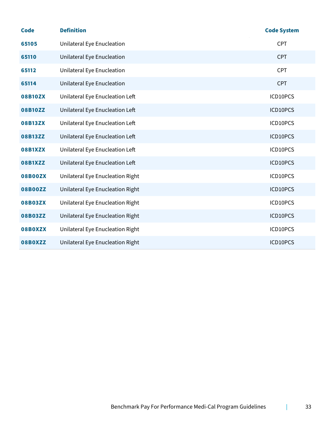| <b>Code</b>    | <b>Definition</b>                | <b>Code System</b> |
|----------------|----------------------------------|--------------------|
| 65105          | Unilateral Eye Enucleation       | <b>CPT</b>         |
| 65110          | Unilateral Eye Enucleation       | <b>CPT</b>         |
| 65112          | Unilateral Eye Enucleation       | <b>CPT</b>         |
| 65114          | Unilateral Eye Enucleation       | <b>CPT</b>         |
| <b>08B10ZX</b> | Unilateral Eye Enucleation Left  | ICD10PCS           |
| 08B10ZZ        | Unilateral Eye Enucleation Left  | ICD10PCS           |
| <b>08B13ZX</b> | Unilateral Eye Enucleation Left  | ICD10PCS           |
| 08B13ZZ        | Unilateral Eye Enucleation Left  | ICD10PCS           |
| 08B1XZX        | Unilateral Eye Enucleation Left  | ICD10PCS           |
| <b>08B1XZZ</b> | Unilateral Eye Enucleation Left  | ICD10PCS           |
| <b>08B00ZX</b> | Unilateral Eye Enucleation Right | ICD10PCS           |
| 08B00ZZ        | Unilateral Eye Enucleation Right | ICD10PCS           |
| <b>08B03ZX</b> | Unilateral Eye Enucleation Right | ICD10PCS           |
| 08B03ZZ        | Unilateral Eye Enucleation Right | ICD10PCS           |
| 08B0XZX        | Unilateral Eye Enucleation Right | ICD10PCS           |
| 08B0XZZ        | Unilateral Eye Enucleation Right | ICD10PCS           |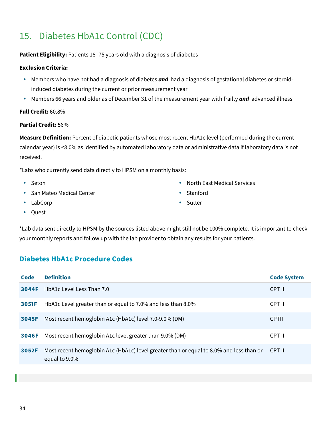## <span id="page-33-0"></span>15. Diabetes HbA1c Control (CDC)

### **Patient Eligibility:** Patients 18 -75 years old with a diagnosis of diabetes

#### **Exclusion Criteria:**

- **Members who have not had a diagnosis of diabetes <b>and** had a diagnosis of gestational diabetes or steroidinduced diabetes during the current or prior measurement year
- Members 66 years and older as of December 31 of the measurement year with frailty *and* advanced illness

#### **Full Credit:** 60.8%

### **Partial Credit:** 56%

**Measure Definition:** Percent of diabetic patients whose most recent HbA1c level (performed during the current calendar year) is <8.0% as identified by automated laboratory data or administrative data if laboratory data is not received.

\*Labs who currently send data directly to HPSM on a monthly basis:

- Seton
- San Mateo Medical Center
- LabCorp

• Stanford

North East Medical Services

Sutter

• Quest

\*Lab data sent directly to HPSM by the sources listed above might still not be 100% complete. It is important to check your monthly reports and follow up with the lab provider to obtain any results for your patients.

### <span id="page-33-1"></span>**Diabetes HbA1c Procedure Codes**

| Code  | <b>Definition</b>                                                                                        | <b>Code System</b> |
|-------|----------------------------------------------------------------------------------------------------------|--------------------|
| 3044F | HbA1c Level Less Than 7.0                                                                                | CPT II             |
| 3051F | HbA1c Level greater than or equal to 7.0% and less than 8.0%                                             | CPT II             |
| 3045F | Most recent hemoglobin A1c (HbA1c) level 7.0-9.0% (DM)                                                   | <b>CPTII</b>       |
| 3046F | Most recent hemoglobin A1c level greater than 9.0% (DM)                                                  | CPT II             |
| 3052F | Most recent hemoglobin A1c (HbA1c) level greater than or equal to 8.0% and less than or<br>equal to 9.0% | CPT II             |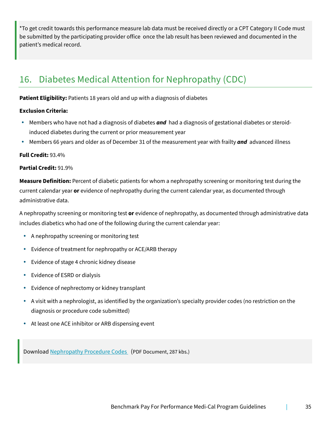\*To get credit towards this performance measure lab data must be received directly or a CPT Category II Code must be submitted by the participating provider office once the lab result has been reviewed and documented in the patient's medical record.

## <span id="page-34-0"></span>16. Diabetes Medical Attention for Nephropathy (CDC)

**Patient Eligibility:** Patients 18 years old and up with a diagnosis of diabetes

#### **Exclusion Criteria:**

- Members who have not had a diagnosis of diabetes *and* had a diagnosis of gestational diabetes or steroidinduced diabetes during the current or prior measurement year
- Members 66 years and older as of December 31 of the measurement year with frailty *and* advanced illness

#### **Full Credit:** 93.4%

#### **Partial Credit:** 91.9%

**Measure Definition:** Percent of diabetic patients for whom a nephropathy screening or monitoring test during the current calendar year **or** evidence of nephropathy during the current calendar year, as documented through administrative data.

A nephropathy screening or monitoring test **or** evidence of nephropathy, as documented through administrative data includes diabetics who had one of the following during the current calendar year:

- A nephropathy screening or monitoring test
- Evidence of treatment for nephropathy or ACE/ARB therapy
- Evidence of stage 4 chronic kidney disease
- Evidence of ESRD or dialysis
- Evidence of nephrectomy or kidney transplant
- A visit with a nephrologist, as identified by the organization's specialty provider codes (no restriction on the diagnosis or procedure code submitted)
- At least one ACE inhibitor or ARB dispensing event

Download [Nephropathy Procedure Codes](https://www.hpsm.org/docs/default-source/provider-services/nephropathy-procedure-codes.pdf) (PDF Document, 287 kbs.)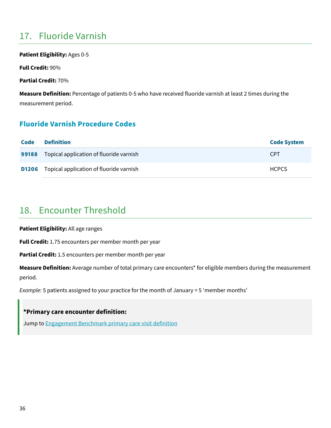## <span id="page-35-0"></span>17. Fluoride Varnish

**Patient Eligibility:** Ages 0-5

**Full Credit:** 90%

**Partial Credit:** 70%

**Measure Definition:** Percentage of patients 0-5 who have received fluoride varnish at least 2 times during the measurement period.

### <span id="page-35-1"></span>**Fluoride Varnish Procedure Codes**

| Code  | <b>Definition</b>                                    | <b>Code System</b> |
|-------|------------------------------------------------------|--------------------|
| 99188 | Topical application of fluoride varnish              | <b>CPT</b>         |
|       | <b>D1206</b> Topical application of fluoride varnish | <b>HCPCS</b>       |

## <span id="page-35-2"></span>18. Encounter Threshold

**Patient Eligibility:** All age ranges

**Full Credit:** 1.75 encounters per member month per year

**Partial Credit:** 1.5 encounters per member month per year

**Measure Definition:** Average number of total primary care encounters\* for eligible members during the measurement period.

*Example:* 5 patients assigned to your practice for the month of January = 5 ʻmember months'

### **\*Primary care encounter definition:**

Jump to [Engagement Benchmark primary care visit definition](#page-7-1)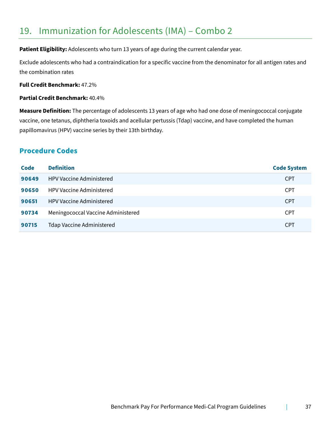## <span id="page-36-0"></span>19. Immunization for Adolescents (IMA) – Combo 2

Patient Eligibility: Adolescents who turn 13 years of age during the current calendar year.

Exclude adolescents who had a contraindication for a specific vaccine from the denominator for all antigen rates and the combination rates

**Full Credit Benchmark:** 47.2%

**Partial Credit Benchmark:** 40.4%

**Measure Definition:** The percentage of adolescents 13 years of age who had one dose of meningococcal conjugate vaccine, one tetanus, diphtheria toxoids and acellular pertussis (Tdap) vaccine, and have completed the human papillomavirus (HPV) vaccine series by their 13th birthday.

### <span id="page-36-1"></span>**Procedure Codes**

| Code  | <b>Definition</b>                  | <b>Code System</b> |
|-------|------------------------------------|--------------------|
| 90649 | <b>HPV Vaccine Administered</b>    | <b>CPT</b>         |
| 90650 | <b>HPV Vaccine Administered</b>    | <b>CPT</b>         |
| 90651 | <b>HPV Vaccine Administered</b>    | <b>CPT</b>         |
| 90734 | Meningococcal Vaccine Administered | <b>CPT</b>         |
| 90715 | <b>Tdap Vaccine Administered</b>   | <b>CPT</b>         |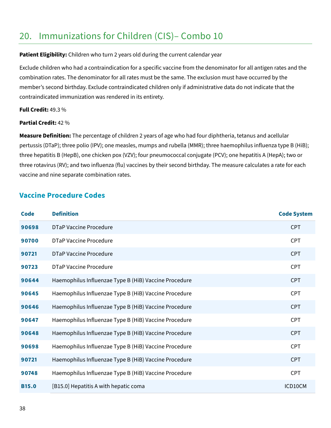## <span id="page-37-0"></span>20. Immunizations for Children (CIS)– Combo 10

#### **Patient Eligibility:** Children who turn 2 years old during the current calendar year

Exclude children who had a contraindication for a specific vaccine from the denominator for all antigen rates and the combination rates. The denominator for all rates must be the same. The exclusion must have occurred by the member's second birthday. Exclude contraindicated children only if administrative data do not indicate that the contraindicated immunization was rendered in its entirety.

#### **Full Credit:** 49.3 %

### **Partial Credit:** 42 %

**Measure Definition:** The percentage of children 2 years of age who had four diphtheria, tetanus and acellular pertussis (DTaP); three polio (IPV); one measles, mumps and rubella (MMR); three haemophilus influenza type B (HiB); three hepatitis B (HepB), one chicken pox (VZV); four pneumococcal conjugate (PCV); one hepatitis A (HepA); two or three rotavirus (RV); and two influenza (flu) vaccines by their second birthday. The measure calculates a rate for each vaccine and nine separate combination rates.

### <span id="page-37-1"></span>**Vaccine Procedure Codes**

| <b>Code</b>  | <b>Definition</b>                                     | <b>Code System</b> |
|--------------|-------------------------------------------------------|--------------------|
| 90698        | DTaP Vaccine Procedure                                | <b>CPT</b>         |
| 90700        | DTaP Vaccine Procedure                                | <b>CPT</b>         |
| 90721        | DTaP Vaccine Procedure                                | <b>CPT</b>         |
| 90723        | <b>DTaP Vaccine Procedure</b>                         | <b>CPT</b>         |
| 90644        | Haemophilus Influenzae Type B (HiB) Vaccine Procedure | <b>CPT</b>         |
| 90645        | Haemophilus Influenzae Type B (HiB) Vaccine Procedure | <b>CPT</b>         |
| 90646        | Haemophilus Influenzae Type B (HiB) Vaccine Procedure | <b>CPT</b>         |
| 90647        | Haemophilus Influenzae Type B (HiB) Vaccine Procedure | <b>CPT</b>         |
| 90648        | Haemophilus Influenzae Type B (HiB) Vaccine Procedure | <b>CPT</b>         |
| 90698        | Haemophilus Influenzae Type B (HiB) Vaccine Procedure | <b>CPT</b>         |
| 90721        | Haemophilus Influenzae Type B (HiB) Vaccine Procedure | <b>CPT</b>         |
| 90748        | Haemophilus Influenzae Type B (HiB) Vaccine Procedure | <b>CPT</b>         |
| <b>B15.0</b> | [B15.0] Hepatitis A with hepatic coma                 | ICD10CM            |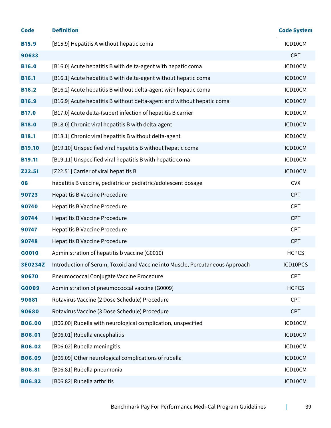| <b>Code</b>   | <b>Definition</b>                                                            | <b>Code System</b> |
|---------------|------------------------------------------------------------------------------|--------------------|
| <b>B15.9</b>  | [B15.9] Hepatitis A without hepatic coma                                     | ICD10CM            |
| 90633         |                                                                              | <b>CPT</b>         |
| <b>B16.0</b>  | [B16.0] Acute hepatitis B with delta-agent with hepatic coma                 | ICD10CM            |
| <b>B16.1</b>  | [B16.1] Acute hepatitis B with delta-agent without hepatic coma              | ICD10CM            |
| <b>B16.2</b>  | [B16.2] Acute hepatitis B without delta-agent with hepatic coma              | ICD10CM            |
| <b>B16.9</b>  | [B16.9] Acute hepatitis B without delta-agent and without hepatic coma       | ICD10CM            |
| <b>B17.0</b>  | [B17.0] Acute delta-(super) infection of hepatitis B carrier                 | ICD10CM            |
| <b>B18.0</b>  | [B18.0] Chronic viral hepatitis B with delta-agent                           | ICD10CM            |
| <b>B18.1</b>  | [B18.1] Chronic viral hepatitis B without delta-agent                        | ICD10CM            |
| <b>B19.10</b> | [B19.10] Unspecified viral hepatitis B without hepatic coma                  | ICD10CM            |
| <b>B19.11</b> | [B19.11] Unspecified viral hepatitis B with hepatic coma                     | ICD10CM            |
| Z22.51        | [Z22.51] Carrier of viral hepatitis B                                        | ICD10CM            |
| 08            | hepatitis B vaccine, pediatric or pediatric/adolescent dosage                | <b>CVX</b>         |
| 90723         | <b>Hepatitis B Vaccine Procedure</b>                                         | <b>CPT</b>         |
| 90740         | <b>Hepatitis B Vaccine Procedure</b>                                         | <b>CPT</b>         |
| 90744         | <b>Hepatitis B Vaccine Procedure</b>                                         | <b>CPT</b>         |
| 90747         | <b>Hepatitis B Vaccine Procedure</b>                                         | <b>CPT</b>         |
| 90748         | <b>Hepatitis B Vaccine Procedure</b>                                         | <b>CPT</b>         |
| G0010         | Administration of hepatitis b vaccine (G0010)                                | <b>HCPCS</b>       |
| 3E0234Z       | Introduction of Serum, Toxoid and Vaccine into Muscle, Percutaneous Approach | ICD10PCS           |
| 90670         | Pneumococcal Conjugate Vaccine Procedure                                     | <b>CPT</b>         |
| G0009         | Administration of pneumococcal vaccine (G0009)                               | <b>HCPCS</b>       |
| 90681         | Rotavirus Vaccine (2 Dose Schedule) Procedure                                | <b>CPT</b>         |
| 90680         | Rotavirus Vaccine (3 Dose Schedule) Procedure                                | <b>CPT</b>         |
| <b>B06.00</b> | [B06.00] Rubella with neurological complication, unspecified                 | ICD10CM            |
| <b>B06.01</b> | [B06.01] Rubella encephalitis                                                | ICD10CM            |
| <b>B06.02</b> | [B06.02] Rubella meningitis                                                  | ICD10CM            |
| <b>B06.09</b> | [B06.09] Other neurological complications of rubella                         | ICD10CM            |
| <b>B06.81</b> | [B06.81] Rubella pneumonia                                                   | ICD10CM            |
| <b>B06.82</b> | [B06.82] Rubella arthritis                                                   | ICD10CM            |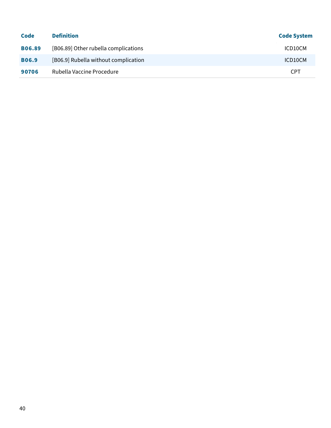| Code          | <b>Definition</b>                    | <b>Code System</b> |
|---------------|--------------------------------------|--------------------|
| <b>B06.89</b> | [B06.89] Other rubella complications | ICD10CM            |
| <b>B06.9</b>  | [B06.9] Rubella without complication | ICD10CM            |
| 90706         | Rubella Vaccine Procedure            | <b>CPT</b>         |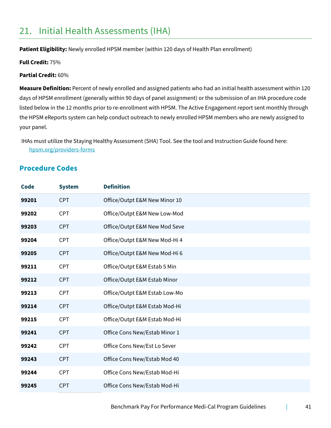## <span id="page-40-0"></span>21. Initial Health Assessments (IHA)

Patient Eligibility: Newly enrolled HPSM member (within 120 days of Health Plan enrollment)

**Full Credit:** 75%

#### **Partial Credit:** 60%

**Measure Definition:** Percent of newly enrolled and assigned patients who had an initial health assessment within 120 days of HPSM enrollment (generally within 90 days of panel assignment) or the submission of an IHA procedure code listed below in the 12 months prior to re-enrollment with HPSM. The Active Engagement report sent monthly through the HPSM eReports system can help conduct outreach to newly enrolled HPSM members who are newly assigned to your panel.

IHAs must utilize the Staying Healthy Assessment (SHA) Tool. See the tool and Instruction Guide found here: [hpsm.org/providers-forms](https://www.hpsm.org/providers-forms)

### <span id="page-40-1"></span>**Procedure Codes**

| <b>Code</b> | <b>System</b> | <b>Definition</b>             |
|-------------|---------------|-------------------------------|
| 99201       | <b>CPT</b>    | Office/Outpt E&M New Minor 10 |
| 99202       | <b>CPT</b>    | Office/Outpt E&M New Low-Mod  |
| 99203       | <b>CPT</b>    | Office/Outpt E&M New Mod Seve |
| 99204       | <b>CPT</b>    | Office/Outpt E&M New Mod-Hi 4 |
| 99205       | <b>CPT</b>    | Office/Outpt E&M New Mod-Hi 6 |
| 99211       | <b>CPT</b>    | Office/Outpt E&M Estab 5 Min  |
| 99212       | <b>CPT</b>    | Office/Outpt E&M Estab Minor  |
| 99213       | <b>CPT</b>    | Office/Outpt E&M Estab Low-Mo |
| 99214       | <b>CPT</b>    | Office/Outpt E&M Estab Mod-Hi |
| 99215       | <b>CPT</b>    | Office/Outpt E&M Estab Mod-Hi |
| 99241       | <b>CPT</b>    | Office Cons New/Estab Minor 1 |
| 99242       | <b>CPT</b>    | Office Cons New/Est Lo Sever  |
| 99243       | <b>CPT</b>    | Office Cons New/Estab Mod 40  |
| 99244       | <b>CPT</b>    | Office Cons New/Estab Mod-Hi  |
| 99245       | <b>CPT</b>    | Office Cons New/Estab Mod-Hi  |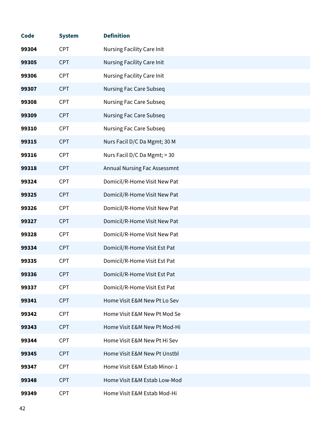| <b>Code</b> | <b>System</b> | <b>Definition</b>                   |
|-------------|---------------|-------------------------------------|
| 99304       | <b>CPT</b>    | <b>Nursing Facility Care Init</b>   |
| 99305       | <b>CPT</b>    | <b>Nursing Facility Care Init</b>   |
| 99306       | <b>CPT</b>    | <b>Nursing Facility Care Init</b>   |
| 99307       | <b>CPT</b>    | <b>Nursing Fac Care Subseq</b>      |
| 99308       | <b>CPT</b>    | <b>Nursing Fac Care Subseq</b>      |
| 99309       | <b>CPT</b>    | <b>Nursing Fac Care Subseq</b>      |
| 99310       | <b>CPT</b>    | <b>Nursing Fac Care Subseq</b>      |
| 99315       | <b>CPT</b>    | Nurs Facil D/C Da Mgmt; 30 M        |
| 99316       | <b>CPT</b>    | Nurs Facil D/C Da Mgmt; > 30        |
| 99318       | <b>CPT</b>    | <b>Annual Nursing Fac Assessmnt</b> |
| 99324       | <b>CPT</b>    | Domicil/R-Home Visit New Pat        |
| 99325       | <b>CPT</b>    | Domicil/R-Home Visit New Pat        |
| 99326       | <b>CPT</b>    | Domicil/R-Home Visit New Pat        |
| 99327       | <b>CPT</b>    | Domicil/R-Home Visit New Pat        |
| 99328       | <b>CPT</b>    | Domicil/R-Home Visit New Pat        |
| 99334       | <b>CPT</b>    | Domicil/R-Home Visit Est Pat        |
| 99335       | <b>CPT</b>    | Domicil/R-Home Visit Est Pat        |
| 99336       | <b>CPT</b>    | Domicil/R-Home Visit Est Pat        |
| 99337       | <b>CPT</b>    | Domicil/R-Home Visit Est Pat        |
| 99341       | <b>CPT</b>    | Home Visit E&M New Pt Lo Sev        |
| 99342       | <b>CPT</b>    | Home Visit E&M New Pt Mod Se        |
| 99343       | <b>CPT</b>    | Home Visit E&M New Pt Mod-Hi        |
| 99344       | <b>CPT</b>    | Home Visit E&M New Pt Hi Sev        |
| 99345       | <b>CPT</b>    | Home Visit E&M New Pt Unstbl        |
| 99347       | <b>CPT</b>    | Home Visit E&M Estab Minor-1        |
| 99348       | <b>CPT</b>    | Home Visit E&M Estab Low-Mod        |
| 99349       | <b>CPT</b>    | Home Visit E&M Estab Mod-Hi         |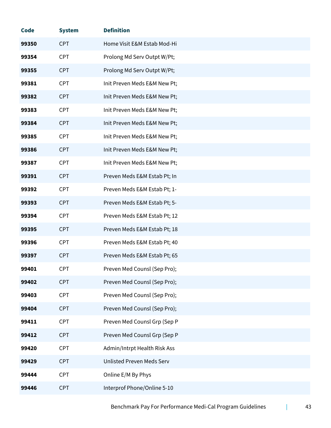| <b>Code</b> | <b>System</b> | <b>Definition</b>            |
|-------------|---------------|------------------------------|
| 99350       | <b>CPT</b>    | Home Visit E&M Estab Mod-Hi  |
| 99354       | <b>CPT</b>    | Prolong Md Serv Outpt W/Pt;  |
| 99355       | <b>CPT</b>    | Prolong Md Serv Outpt W/Pt;  |
| 99381       | <b>CPT</b>    | Init Preven Meds E&M New Pt; |
| 99382       | <b>CPT</b>    | Init Preven Meds E&M New Pt; |
| 99383       | <b>CPT</b>    | Init Preven Meds E&M New Pt; |
| 99384       | <b>CPT</b>    | Init Preven Meds E&M New Pt; |
| 99385       | <b>CPT</b>    | Init Preven Meds E&M New Pt; |
| 99386       | <b>CPT</b>    | Init Preven Meds E&M New Pt; |
| 99387       | <b>CPT</b>    | Init Preven Meds E&M New Pt; |
| 99391       | <b>CPT</b>    | Preven Meds E&M Estab Pt; In |
| 99392       | <b>CPT</b>    | Preven Meds E&M Estab Pt; 1- |
| 99393       | <b>CPT</b>    | Preven Meds E&M Estab Pt; 5- |
| 99394       | <b>CPT</b>    | Preven Meds E&M Estab Pt; 12 |
| 99395       | <b>CPT</b>    | Preven Meds E&M Estab Pt; 18 |
| 99396       | <b>CPT</b>    | Preven Meds E&M Estab Pt; 40 |
| 99397       | <b>CPT</b>    | Preven Meds E&M Estab Pt; 65 |
| 99401       | <b>CPT</b>    | Preven Med Counsl (Sep Pro); |
| 99402       | <b>CPT</b>    | Preven Med Counsl (Sep Pro); |
| 99403       | <b>CPT</b>    | Preven Med Counsl (Sep Pro); |
| 99404       | <b>CPT</b>    | Preven Med Counsl (Sep Pro); |
| 99411       | <b>CPT</b>    | Preven Med Counsl Grp (Sep P |
| 99412       | <b>CPT</b>    | Preven Med Counsl Grp (Sep P |
| 99420       | <b>CPT</b>    | Admin/Intrpt Health Risk Ass |
| 99429       | <b>CPT</b>    | Unlisted Preven Meds Serv    |
| 99444       | <b>CPT</b>    | Online E/M By Phys           |
| 99446       | <b>CPT</b>    | Interprof Phone/Online 5-10  |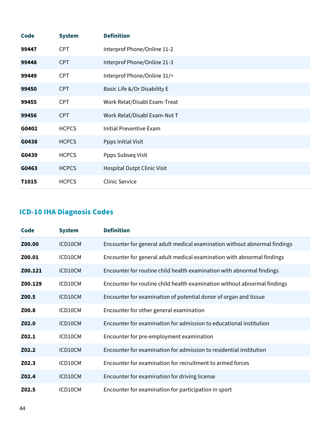| <b>Code</b> | <b>System</b> | <b>Definition</b>            |
|-------------|---------------|------------------------------|
| 99447       | <b>CPT</b>    | Interprof Phone/Online 11-2  |
| 99448       | <b>CPT</b>    | Interprof Phone/Online 21-3  |
| 99449       | <b>CPT</b>    | Interprof Phone/Online 31/>  |
| 99450       | <b>CPT</b>    | Basic Life &/Or Disability E |
| 99455       | <b>CPT</b>    | Work Relat/Disabl Exam-Treat |
| 99456       | <b>CPT</b>    | Work Relat/Disabl Exam-Not T |
| G0402       | <b>HCPCS</b>  | Initial Preventive Exam      |
| G0438       | <b>HCPCS</b>  | Ppps Initial Visit           |
| G0439       | <b>HCPCS</b>  | Ppps Subseq Visit            |
| G0463       | <b>HCPCS</b>  | Hospital Outpt Clinic Visit  |
| T1015       | <b>HCPCS</b>  | <b>Clinic Service</b>        |

## <span id="page-43-0"></span>**ICD-10 IHA Diagnosis Codes**

| Code    | <b>System</b> | <b>Definition</b>                                                         |
|---------|---------------|---------------------------------------------------------------------------|
| Z00.00  | ICD10CM       | Encounter for general adult medical examination without abnormal findings |
| Z00.01  | ICD10CM       | Encounter for general adult medical examination with abnormal findings    |
| Z00.121 | ICD10CM       | Encounter for routine child health examination with abnormal findings     |
| Z00.129 | ICD10CM       | Encounter for routine child health examination without abnormal findings  |
| Z00.5   | ICD10CM       | Encounter for examination of potential donor of organ and tissue          |
| Z00.8   | ICD10CM       | Encounter for other general examination                                   |
| Z02.0   | ICD10CM       | Encounter for examination for admission to educational institution        |
| Z02.1   | ICD10CM       | Encounter for pre-employment examination                                  |
| Z02.2   | ICD10CM       | Encounter for examination for admission to residential institution        |
| Z02.3   | ICD10CM       | Encounter for examination for recruitment to armed forces                 |
| Z02.4   | ICD10CM       | Encounter for examination for driving license                             |
| Z02.5   | ICD10CM       | Encounter for examination for participation in sport                      |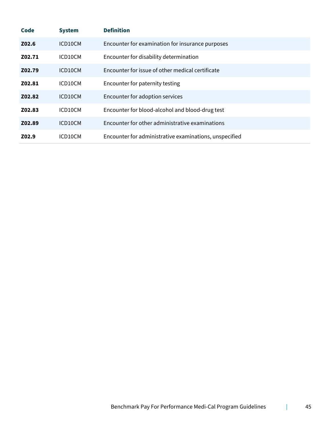| <b>Code</b> | <b>System</b> | <b>Definition</b>                                      |
|-------------|---------------|--------------------------------------------------------|
| Z02.6       | ICD10CM       | Encounter for examination for insurance purposes       |
| Z02.71      | ICD10CM       | Encounter for disability determination                 |
| Z02.79      | ICD10CM       | Encounter for issue of other medical certificate       |
| Z02.81      | ICD10CM       | Encounter for paternity testing                        |
| Z02.82      | ICD10CM       | Encounter for adoption services                        |
| Z02.83      | ICD10CM       | Encounter for blood-alcohol and blood-drug test        |
| Z02.89      | ICD10CM       | Encounter for other administrative examinations        |
| Z02.9       | ICD10CM       | Encounter for administrative examinations, unspecified |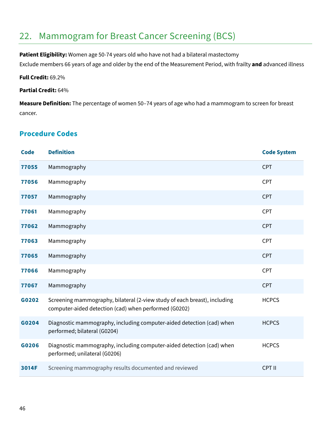## <span id="page-45-0"></span>22. Mammogram for Breast Cancer Screening (BCS)

**Patient Eligibility:** Women age 50-74 years old who have not had a bilateral mastectomy

Exclude members 66 years of age and older by the end of the Measurement Period, with frailty **and** advanced illness

#### **Full Credit:** 69.2%

#### **Partial Credit:** 64%

**Measure Definition:** The percentage of women 50–74 years of age who had a mammogram to screen for breast cancer.

### <span id="page-45-1"></span>**Procedure Codes**

| <b>Code</b> | <b>Definition</b>                                                                                                                  | <b>Code System</b> |
|-------------|------------------------------------------------------------------------------------------------------------------------------------|--------------------|
| 77055       | Mammography                                                                                                                        | <b>CPT</b>         |
| 77056       | Mammography                                                                                                                        | <b>CPT</b>         |
| 77057       | Mammography                                                                                                                        | <b>CPT</b>         |
| 77061       | Mammography                                                                                                                        | <b>CPT</b>         |
| 77062       | Mammography                                                                                                                        | <b>CPT</b>         |
| 77063       | Mammography                                                                                                                        | <b>CPT</b>         |
| 77065       | Mammography                                                                                                                        | <b>CPT</b>         |
| 77066       | Mammography                                                                                                                        | <b>CPT</b>         |
| 77067       | Mammography                                                                                                                        | <b>CPT</b>         |
| G0202       | Screening mammography, bilateral (2-view study of each breast), including<br>computer-aided detection (cad) when performed (G0202) | <b>HCPCS</b>       |
| G0204       | Diagnostic mammography, including computer-aided detection (cad) when<br>performed; bilateral (G0204)                              | <b>HCPCS</b>       |
| G0206       | Diagnostic mammography, including computer-aided detection (cad) when<br>performed; unilateral (G0206)                             | <b>HCPCS</b>       |
| 3014F       | Screening mammography results documented and reviewed                                                                              | CPT II             |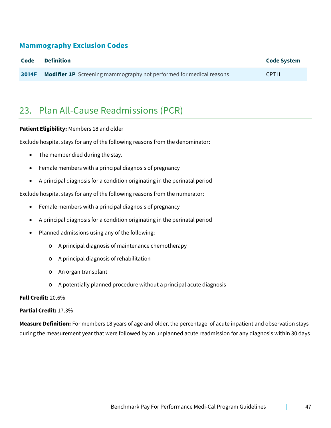### **Mammography Exclusion Codes**

| Code  | <b>Definition</b>                                                          | <b>Code System</b> |
|-------|----------------------------------------------------------------------------|--------------------|
| 3014F | <b>Modifier 1P</b> Screening mammography not performed for medical reasons | CPT II             |

## <span id="page-46-0"></span>23. Plan All-Cause Readmissions (PCR)

#### **Patient Eligibility:** Members 18 and older

Exclude hospital stays for any of the following reasons from the denominator:

- The member died during the stay.
- Female members with a principal diagnosis of pregnancy
- A principal diagnosis for a condition originating in the perinatal period

Exclude hospital stays for any of the following reasons from the numerator:

- Female members with a principal diagnosis of pregnancy
- A principal diagnosis for a condition originating in the perinatal period
- Planned admissions using any of the following:
	- o A principal diagnosis of maintenance chemotherapy
	- o A principal diagnosis of rehabilitation
	- o An organ transplant
	- o A potentially planned procedure without a principal acute diagnosis

### **Full Credit:** 20.6%

#### **Partial Credit:** 17.3%

**Measure Definition:** For members 18 years of age and older, the percentage of acute inpatient and observation stays during the measurement year that were followed by an unplanned acute readmission for any diagnosis within 30 days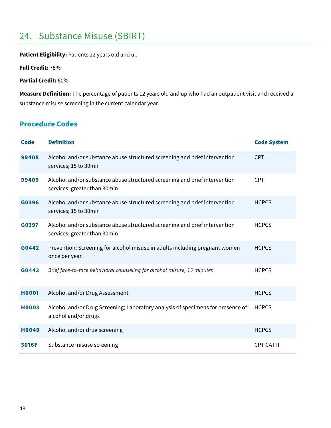## <span id="page-47-0"></span>24. Substance Misuse (SBIRT)

### **Patient Eligibility:** Patients 12 years old and up

**Full Credit:** 75%

**Partial Credit:** 60%

**Measure Definition:** The percentage of patients 12 years old and up who had an outpatient visit and received a substance misuse screening in the current calendar year.

## <span id="page-47-1"></span>**Procedure Codes**

| <b>Code</b>  | <b>Definition</b>                                                                                          | <b>Code System</b> |
|--------------|------------------------------------------------------------------------------------------------------------|--------------------|
| 99408        | Alcohol and/or substance abuse structured screening and brief intervention<br>services; 15 to 30min        | <b>CPT</b>         |
| 99409        | Alcohol and/or substance abuse structured screening and brief intervention<br>services; greater than 30min | <b>CPT</b>         |
| G0396        | Alcohol and/or substance abuse structured screening and brief intervention<br>services; 15 to 30min        | <b>HCPCS</b>       |
| G0397        | Alcohol and/or substance abuse structured screening and brief intervention<br>services; greater than 30min | <b>HCPCS</b>       |
| G0442        | Prevention: Screening for alcohol misuse in adults including pregnant women<br>once per year.              | <b>HCPCS</b>       |
| G0443        | Brief face-to-face behavioral counseling for alcohol misuse, 15 minutes                                    | <b>HCPCS</b>       |
| <b>H0001</b> | Alcohol and/or Drug Assessment                                                                             | <b>HCPCS</b>       |
| <b>H0003</b> | Alcohol and/or Drug Screening; Laboratory analysis of specimens for presence of<br>alcohol and/or drugs    | <b>HCPCS</b>       |
| <b>H0049</b> | Alcohol and/or drug screening                                                                              | <b>HCPCS</b>       |
| 3016F        | Substance misuse screening                                                                                 | CPT CAT II         |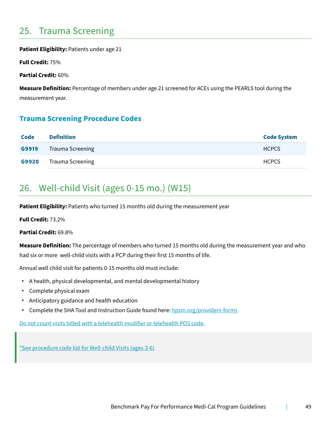## <span id="page-48-0"></span>25. Trauma Screening

**Patient Eligibility:** Patients under age 21

**Full Credit:** 75%

**Partial Credit:** 60%

**Measure Definition:** Percentage of members under age 21 screened for ACEs using the PEARLS tool during the measurement year.

### <span id="page-48-1"></span>**Trauma Screening Procedure Codes**

| Code  | <b>Definition</b>       | <b>Code System</b> |
|-------|-------------------------|--------------------|
| G9919 | <b>Trauma Screening</b> | <b>HCPCS</b>       |
| G9920 | <b>Trauma Screening</b> | <b>HCPCS</b>       |

## <span id="page-48-2"></span>26. Well-child Visit (ages 0-15 mo.) (W15)

**Patient Eligibility:** Patients who turned 15 months old during the measurement year

**Full Credit:** 73.2%

**Partial Credit:** 69.8%

**Measure Definition:** The percentage of members who turned 15 months old during the measurement year and who had six or more well-child visits with a PCP during their first 15 months of life.

Annual well child visit for patients 0-15 months old must include:

- A health, physical developmental, and mental developmental history
- Complete physical exam
- Anticipatory guidance and health education
- Complete the SHA Tool and Instruction Guide found here: [hpsm.org/providers-forms](https://www.hpsm.org/providers-forms)

Do not count visits billed with a telehealth modifier or telehealth POS code.

[\\*See procedure code list for Well-](#page-49-1)child Visits (ages 3-[6\)](#page-49-1)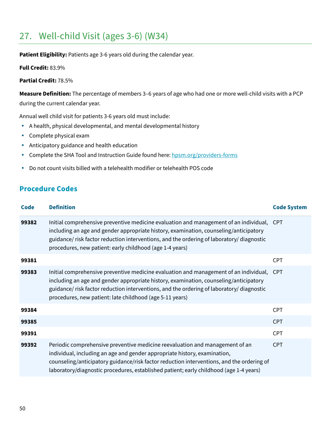## <span id="page-49-0"></span>27. Well-child Visit (ages 3-6) (W34)

Patient Eligibility: Patients age 3-6 years old during the calendar year.

**Full Credit:** 83.9%

#### **Partial Credit:** 78.5%

**Measure Definition:** The percentage of members 3–6 years of age who had one or more well-child visits with a PCP during the current calendar year.

Annual well child visit for patients 3-6 years old must include:

- A health, physical developmental, and mental developmental history
- Complete physical exam
- Anticipatory guidance and health education
- Complete the SHA Tool and Instruction Guide found here: [hpsm.org/providers-forms](https://www.hpsm.org/providers-forms)
- Do not count visits billed with a telehealth modifier or telehealth POS code

### <span id="page-49-1"></span>**Procedure Codes**

| <b>Code</b> | <b>Definition</b>                                                                                                                                                                                                                                                                                                                                | <b>Code System</b> |
|-------------|--------------------------------------------------------------------------------------------------------------------------------------------------------------------------------------------------------------------------------------------------------------------------------------------------------------------------------------------------|--------------------|
| 99382       | Initial comprehensive preventive medicine evaluation and management of an individual, CPT<br>including an age and gender appropriate history, examination, counseling/anticipatory<br>guidance/ risk factor reduction interventions, and the ordering of laboratory/ diagnostic<br>procedures, new patient: early childhood (age 1-4 years)      |                    |
| 99381       |                                                                                                                                                                                                                                                                                                                                                  | <b>CPT</b>         |
| 99383       | Initial comprehensive preventive medicine evaluation and management of an individual,<br>including an age and gender appropriate history, examination, counseling/anticipatory<br>guidance/ risk factor reduction interventions, and the ordering of laboratory/ diagnostic<br>procedures, new patient: late childhood (age 5-11 years)          | <b>CPT</b>         |
| 99384       |                                                                                                                                                                                                                                                                                                                                                  | <b>CPT</b>         |
| 99385       |                                                                                                                                                                                                                                                                                                                                                  | <b>CPT</b>         |
| 99391       |                                                                                                                                                                                                                                                                                                                                                  | <b>CPT</b>         |
| 99392       | Periodic comprehensive preventive medicine reevaluation and management of an<br>individual, including an age and gender appropriate history, examination,<br>counseling/anticipatory guidance/risk factor reduction interventions, and the ordering of<br>laboratory/diagnostic procedures, established patient; early childhood (age 1-4 years) | <b>CPT</b>         |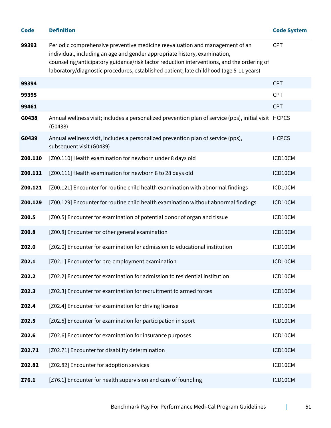| <b>Code</b> | <b>Definition</b>                                                                                                                                                                                                                                                                                                                                | <b>Code System</b> |
|-------------|--------------------------------------------------------------------------------------------------------------------------------------------------------------------------------------------------------------------------------------------------------------------------------------------------------------------------------------------------|--------------------|
| 99393       | Periodic comprehensive preventive medicine reevaluation and management of an<br>individual, including an age and gender appropriate history, examination,<br>counseling/anticipatory guidance/risk factor reduction interventions, and the ordering of<br>laboratory/diagnostic procedures, established patient; late childhood (age 5-11 years) | CPT                |
| 99394       |                                                                                                                                                                                                                                                                                                                                                  | <b>CPT</b>         |
| 99395       |                                                                                                                                                                                                                                                                                                                                                  | CPT                |
| 99461       |                                                                                                                                                                                                                                                                                                                                                  | <b>CPT</b>         |
| G0438       | Annual wellness visit; includes a personalized prevention plan of service (pps), initial visit HCPCS<br>(G0438)                                                                                                                                                                                                                                  |                    |
| G0439       | Annual wellness visit, includes a personalized prevention plan of service (pps),<br>subsequent visit (G0439)                                                                                                                                                                                                                                     | <b>HCPCS</b>       |
| Z00.110     | [Z00.110] Health examination for newborn under 8 days old                                                                                                                                                                                                                                                                                        | ICD10CM            |
| Z00.111     | [Z00.111] Health examination for newborn 8 to 28 days old                                                                                                                                                                                                                                                                                        | ICD10CM            |
| Z00.121     | [Z00.121] Encounter for routine child health examination with abnormal findings                                                                                                                                                                                                                                                                  | ICD10CM            |
| Z00.129     | [Z00.129] Encounter for routine child health examination without abnormal findings                                                                                                                                                                                                                                                               | ICD10CM            |
| Z00.5       | [Z00.5] Encounter for examination of potential donor of organ and tissue                                                                                                                                                                                                                                                                         | ICD10CM            |
| Z00.8       | [Z00.8] Encounter for other general examination                                                                                                                                                                                                                                                                                                  | ICD10CM            |
| Z02.0       | [Z02.0] Encounter for examination for admission to educational institution                                                                                                                                                                                                                                                                       | ICD10CM            |
| Z02.1       | [Z02.1] Encounter for pre-employment examination                                                                                                                                                                                                                                                                                                 | ICD10CM            |
| Z02.2       | [Z02.2] Encounter for examination for admission to residential institution                                                                                                                                                                                                                                                                       | ICD10CM            |
| Z02.3       | [Z02.3] Encounter for examination for recruitment to armed forces                                                                                                                                                                                                                                                                                | ICD10CM            |
| Z02.4       | [Z02.4] Encounter for examination for driving license                                                                                                                                                                                                                                                                                            | ICD10CM            |
| Z02.5       | [Z02.5] Encounter for examination for participation in sport                                                                                                                                                                                                                                                                                     | ICD10CM            |
| Z02.6       | [Z02.6] Encounter for examination for insurance purposes                                                                                                                                                                                                                                                                                         | ICD10CM            |
| Z02.71      | [Z02.71] Encounter for disability determination                                                                                                                                                                                                                                                                                                  | ICD10CM            |
| Z02.82      | [Z02.82] Encounter for adoption services                                                                                                                                                                                                                                                                                                         | ICD10CM            |
| Z76.1       | [Z76.1] Encounter for health supervision and care of foundling                                                                                                                                                                                                                                                                                   | ICD10CM            |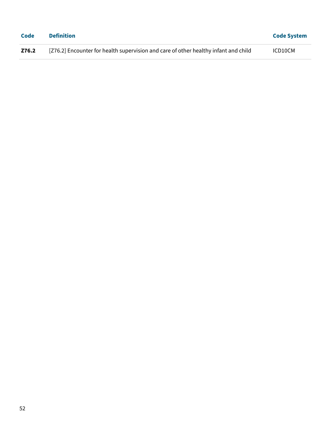| Code  | <b>Definition</b>                                                                   | <b>Code System</b> |
|-------|-------------------------------------------------------------------------------------|--------------------|
| Z76.2 | [Z76.2] Encounter for health supervision and care of other healthy infant and child | ICD10CM            |